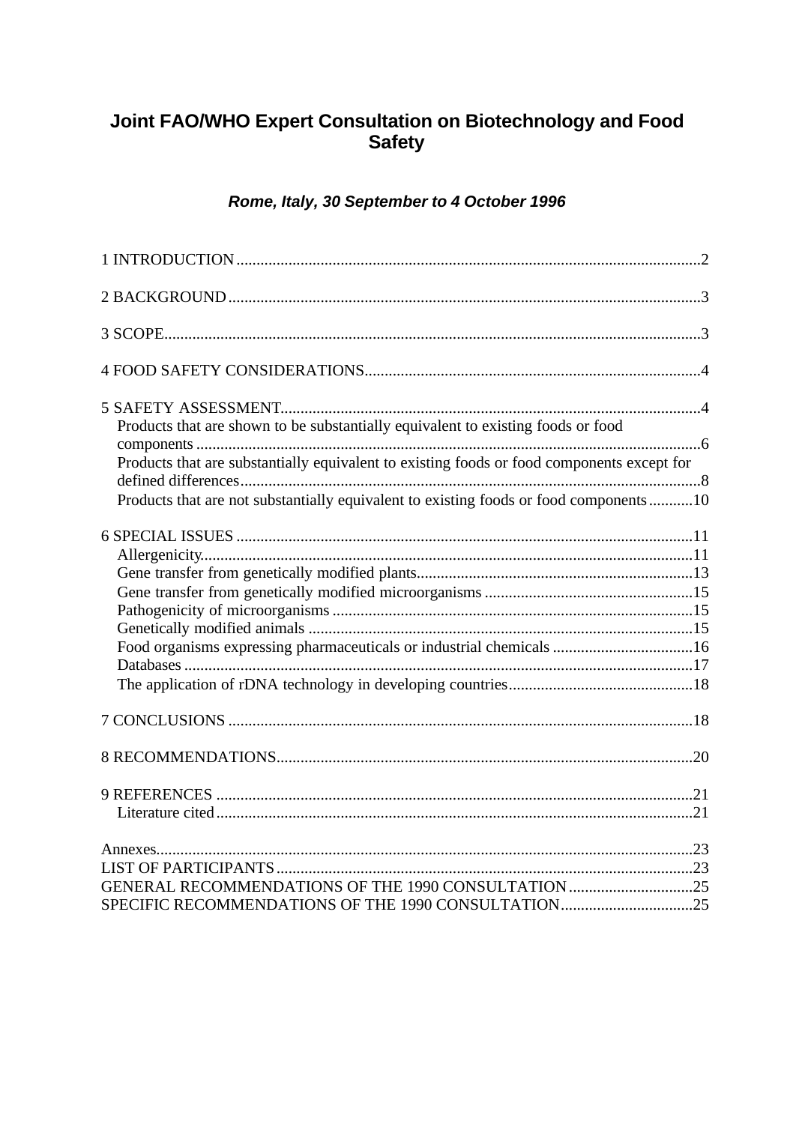# Joint FAO/WHO Expert Consultation on Biotechnology and Food **Safety**

# Rome, Italy, 30 September to 4 October 1996

| Products that are shown to be substantially equivalent to existing foods or food           |  |
|--------------------------------------------------------------------------------------------|--|
| Products that are substantially equivalent to existing foods or food components except for |  |
| Products that are not substantially equivalent to existing foods or food components10      |  |
|                                                                                            |  |
|                                                                                            |  |
|                                                                                            |  |
|                                                                                            |  |
|                                                                                            |  |
|                                                                                            |  |
| Food organisms expressing pharmaceuticals or industrial chemicals 16                       |  |
|                                                                                            |  |
|                                                                                            |  |
|                                                                                            |  |
|                                                                                            |  |
|                                                                                            |  |
|                                                                                            |  |
|                                                                                            |  |
|                                                                                            |  |
| GENERAL RECOMMENDATIONS OF THE 1990 CONSULTATION 25                                        |  |
|                                                                                            |  |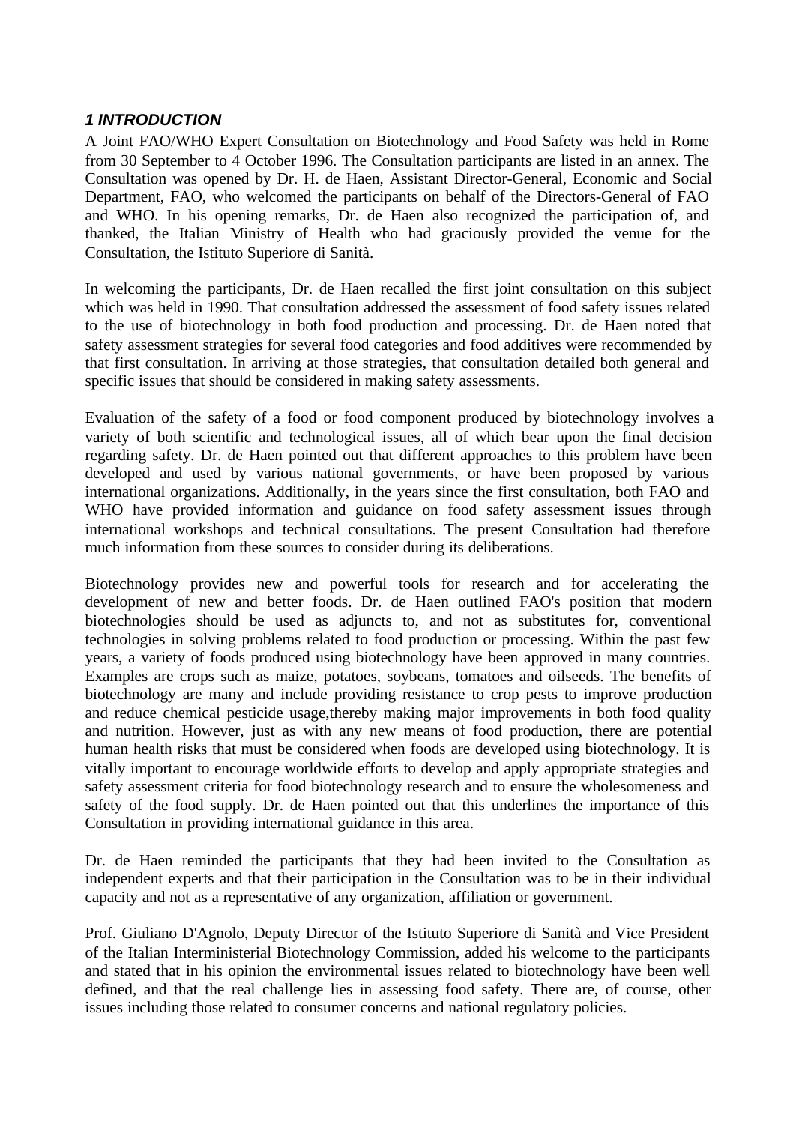#### *1 INTRODUCTION*

A Joint FAO/WHO Expert Consultation on Biotechnology and Food Safety was held in Rome from 30 September to 4 October 1996. The Consultation participants are listed in an annex. The Consultation was opened by Dr. H. de Haen, Assistant Director-General, Economic and Social Department, FAO, who welcomed the participants on behalf of the Directors-General of FAO and WHO. In his opening remarks, Dr. de Haen also recognized the participation of, and thanked, the Italian Ministry of Health who had graciously provided the venue for the Consultation, the Istituto Superiore di Sanità.

In welcoming the participants, Dr. de Haen recalled the first joint consultation on this subject which was held in 1990. That consultation addressed the assessment of food safety issues related to the use of biotechnology in both food production and processing. Dr. de Haen noted that safety assessment strategies for several food categories and food additives were recommended by that first consultation. In arriving at those strategies, that consultation detailed both general and specific issues that should be considered in making safety assessments.

Evaluation of the safety of a food or food component produced by biotechnology involves a variety of both scientific and technological issues, all of which bear upon the final decision regarding safety. Dr. de Haen pointed out that different approaches to this problem have been developed and used by various national governments, or have been proposed by various international organizations. Additionally, in the years since the first consultation, both FAO and WHO have provided information and guidance on food safety assessment issues through international workshops and technical consultations. The present Consultation had therefore much information from these sources to consider during its deliberations.

Biotechnology provides new and powerful tools for research and for accelerating the development of new and better foods. Dr. de Haen outlined FAO's position that modern biotechnologies should be used as adjuncts to, and not as substitutes for, conventional technologies in solving problems related to food production or processing. Within the past few years, a variety of foods produced using biotechnology have been approved in many countries. Examples are crops such as maize, potatoes, soybeans, tomatoes and oilseeds. The benefits of biotechnology are many and include providing resistance to crop pests to improve production and reduce chemical pesticide usage,thereby making major improvements in both food quality and nutrition. However, just as with any new means of food production, there are potential human health risks that must be considered when foods are developed using biotechnology. It is vitally important to encourage worldwide efforts to develop and apply appropriate strategies and safety assessment criteria for food biotechnology research and to ensure the wholesomeness and safety of the food supply. Dr. de Haen pointed out that this underlines the importance of this Consultation in providing international guidance in this area.

Dr. de Haen reminded the participants that they had been invited to the Consultation as independent experts and that their participation in the Consultation was to be in their individual capacity and not as a representative of any organization, affiliation or government.

Prof. Giuliano D'Agnolo, Deputy Director of the Istituto Superiore di Sanità and Vice President of the Italian Interministerial Biotechnology Commission, added his welcome to the participants and stated that in his opinion the environmental issues related to biotechnology have been well defined, and that the real challenge lies in assessing food safety. There are, of course, other issues including those related to consumer concerns and national regulatory policies.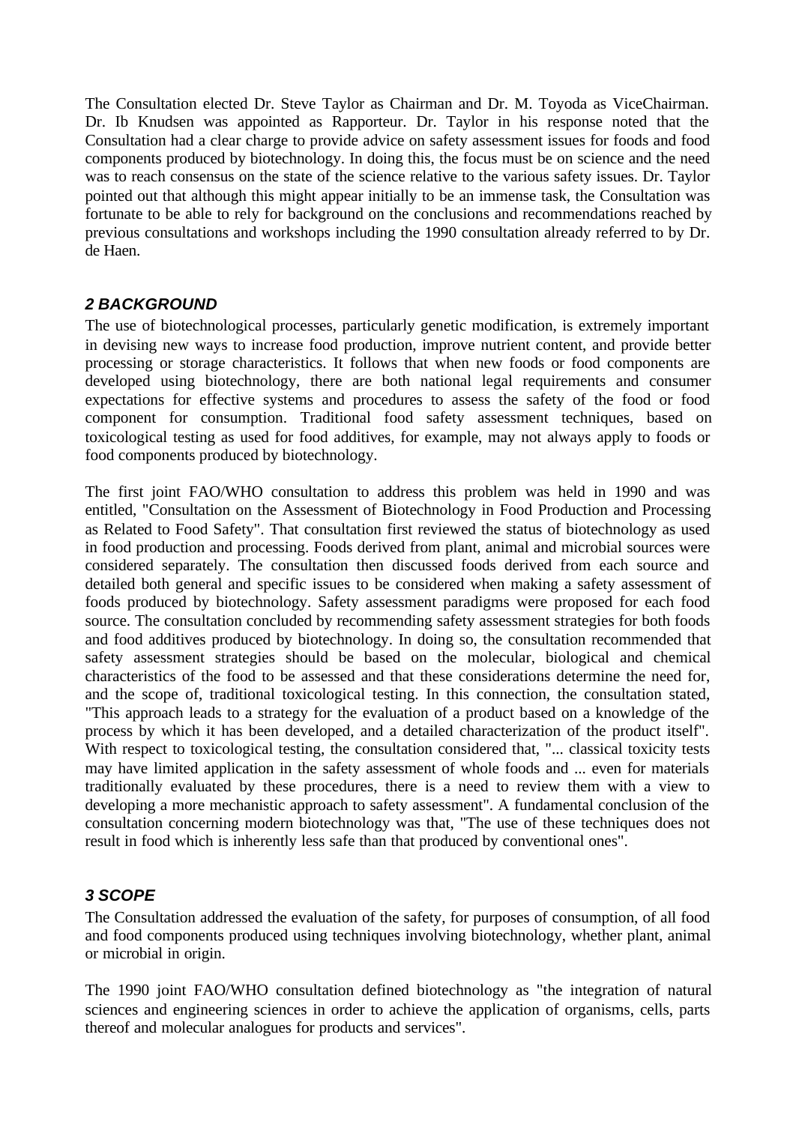The Consultation elected Dr. Steve Taylor as Chairman and Dr. M. Toyoda as ViceChairman. Dr. Ib Knudsen was appointed as Rapporteur. Dr. Taylor in his response noted that the Consultation had a clear charge to provide advice on safety assessment issues for foods and food components produced by biotechnology. In doing this, the focus must be on science and the need was to reach consensus on the state of the science relative to the various safety issues. Dr. Taylor pointed out that although this might appear initially to be an immense task, the Consultation was fortunate to be able to rely for background on the conclusions and recommendations reached by previous consultations and workshops including the 1990 consultation already referred to by Dr. de Haen.

# *2 BACKGROUND*

The use of biotechnological processes, particularly genetic modification, is extremely important in devising new ways to increase food production, improve nutrient content, and provide better processing or storage characteristics. It follows that when new foods or food components are developed using biotechnology, there are both national legal requirements and consumer expectations for effective systems and procedures to assess the safety of the food or food component for consumption. Traditional food safety assessment techniques, based on toxicological testing as used for food additives, for example, may not always apply to foods or food components produced by biotechnology.

The first joint FAO/WHO consultation to address this problem was held in 1990 and was entitled, "Consultation on the Assessment of Biotechnology in Food Production and Processing as Related to Food Safety". That consultation first reviewed the status of biotechnology as used in food production and processing. Foods derived from plant, animal and microbial sources were considered separately. The consultation then discussed foods derived from each source and detailed both general and specific issues to be considered when making a safety assessment of foods produced by biotechnology. Safety assessment paradigms were proposed for each food source. The consultation concluded by recommending safety assessment strategies for both foods and food additives produced by biotechnology. In doing so, the consultation recommended that safety assessment strategies should be based on the molecular, biological and chemical characteristics of the food to be assessed and that these considerations determine the need for, and the scope of, traditional toxicological testing. In this connection, the consultation stated, "This approach leads to a strategy for the evaluation of a product based on a knowledge of the process by which it has been developed, and a detailed characterization of the product itself". With respect to toxicological testing, the consultation considered that, "... classical toxicity tests may have limited application in the safety assessment of whole foods and ... even for materials traditionally evaluated by these procedures, there is a need to review them with a view to developing a more mechanistic approach to safety assessment". A fundamental conclusion of the consultation concerning modern biotechnology was that, "The use of these techniques does not result in food which is inherently less safe than that produced by conventional ones".

# *3 SCOPE*

The Consultation addressed the evaluation of the safety, for purposes of consumption, of all food and food components produced using techniques involving biotechnology, whether plant, animal or microbial in origin.

The 1990 joint FAO/WHO consultation defined biotechnology as "the integration of natural sciences and engineering sciences in order to achieve the application of organisms, cells, parts thereof and molecular analogues for products and services".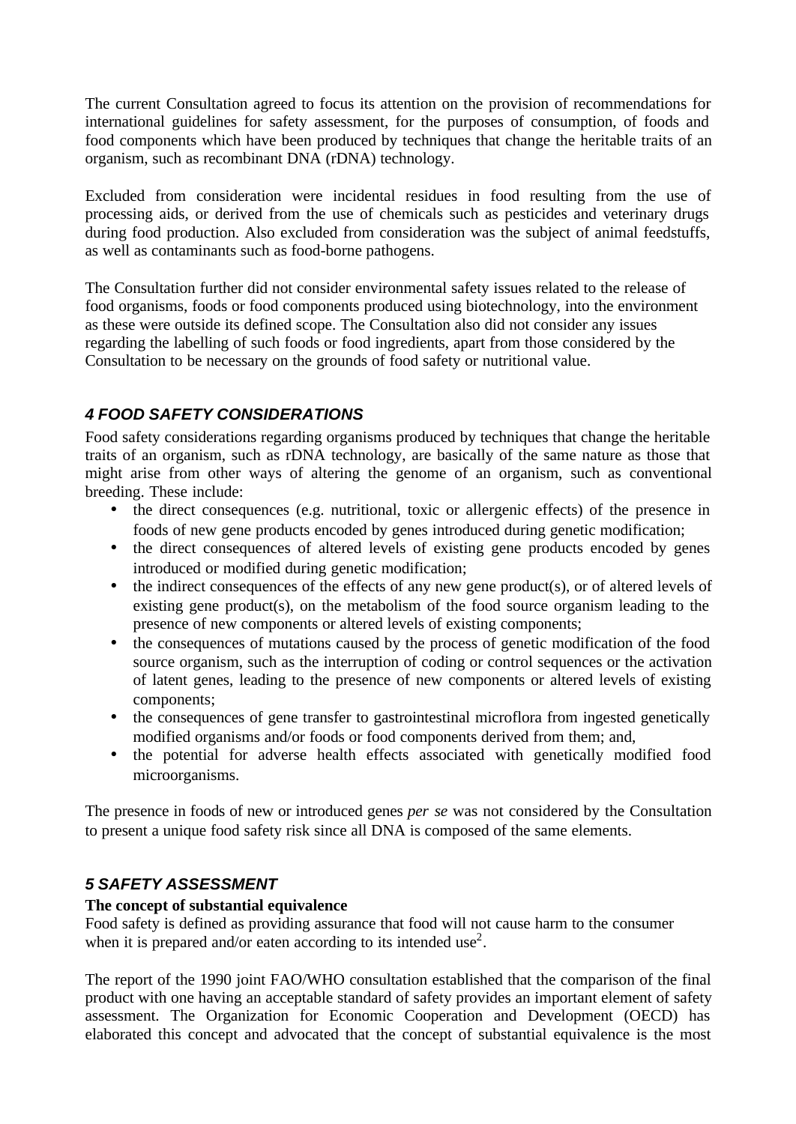The current Consultation agreed to focus its attention on the provision of recommendations for international guidelines for safety assessment, for the purposes of consumption, of foods and food components which have been produced by techniques that change the heritable traits of an organism, such as recombinant DNA (rDNA) technology.

Excluded from consideration were incidental residues in food resulting from the use of processing aids, or derived from the use of chemicals such as pesticides and veterinary drugs during food production. Also excluded from consideration was the subject of animal feedstuffs, as well as contaminants such as food-borne pathogens.

The Consultation further did not consider environmental safety issues related to the release of food organisms, foods or food components produced using biotechnology, into the environment as these were outside its defined scope. The Consultation also did not consider any issues regarding the labelling of such foods or food ingredients, apart from those considered by the Consultation to be necessary on the grounds of food safety or nutritional value.

# *4 FOOD SAFETY CONSIDERATIONS*

Food safety considerations regarding organisms produced by techniques that change the heritable traits of an organism, such as rDNA technology, are basically of the same nature as those that might arise from other ways of altering the genome of an organism, such as conventional breeding. These include:

- the direct consequences (e.g. nutritional, toxic or allergenic effects) of the presence in foods of new gene products encoded by genes introduced during genetic modification;
- the direct consequences of altered levels of existing gene products encoded by genes introduced or modified during genetic modification;
- the indirect consequences of the effects of any new gene product(s), or of altered levels of existing gene product(s), on the metabolism of the food source organism leading to the presence of new components or altered levels of existing components;
- the consequences of mutations caused by the process of genetic modification of the food source organism, such as the interruption of coding or control sequences or the activation of latent genes, leading to the presence of new components or altered levels of existing components;
- the consequences of gene transfer to gastrointestinal microflora from ingested genetically modified organisms and/or foods or food components derived from them; and,
- the potential for adverse health effects associated with genetically modified food microorganisms.

The presence in foods of new or introduced genes *per se* was not considered by the Consultation to present a unique food safety risk since all DNA is composed of the same elements.

# *5 SAFETY ASSESSMENT*

#### **The concept of substantial equivalence**

Food safety is defined as providing assurance that food will not cause harm to the consumer when it is prepared and/or eaten according to its intended use<sup>2</sup>.

The report of the 1990 joint FAO/WHO consultation established that the comparison of the final product with one having an acceptable standard of safety provides an important element of safety assessment. The Organization for Economic Cooperation and Development (OECD) has elaborated this concept and advocated that the concept of substantial equivalence is the most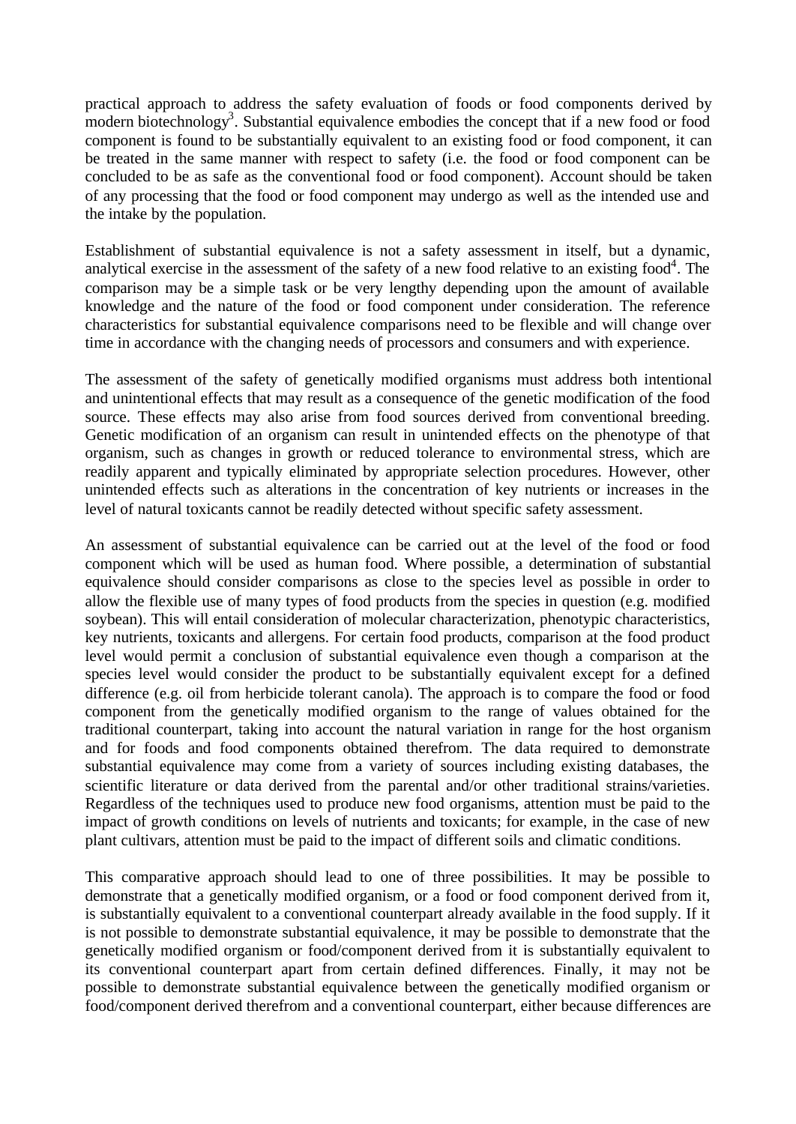practical approach to address the safety evaluation of foods or food components derived by modern biotechnology<sup>3</sup>. Substantial equivalence embodies the concept that if a new food or food component is found to be substantially equivalent to an existing food or food component, it can be treated in the same manner with respect to safety (i.e. the food or food component can be concluded to be as safe as the conventional food or food component). Account should be taken of any processing that the food or food component may undergo as well as the intended use and the intake by the population.

Establishment of substantial equivalence is not a safety assessment in itself, but a dynamic, analytical exercise in the assessment of the safety of a new food relative to an existing food<sup>4</sup>. The comparison may be a simple task or be very lengthy depending upon the amount of available knowledge and the nature of the food or food component under consideration. The reference characteristics for substantial equivalence comparisons need to be flexible and will change over time in accordance with the changing needs of processors and consumers and with experience.

The assessment of the safety of genetically modified organisms must address both intentional and unintentional effects that may result as a consequence of the genetic modification of the food source. These effects may also arise from food sources derived from conventional breeding. Genetic modification of an organism can result in unintended effects on the phenotype of that organism, such as changes in growth or reduced tolerance to environmental stress, which are readily apparent and typically eliminated by appropriate selection procedures. However, other unintended effects such as alterations in the concentration of key nutrients or increases in the level of natural toxicants cannot be readily detected without specific safety assessment.

An assessment of substantial equivalence can be carried out at the level of the food or food component which will be used as human food. Where possible, a determination of substantial equivalence should consider comparisons as close to the species level as possible in order to allow the flexible use of many types of food products from the species in question (e.g. modified soybean). This will entail consideration of molecular characterization, phenotypic characteristics, key nutrients, toxicants and allergens. For certain food products, comparison at the food product level would permit a conclusion of substantial equivalence even though a comparison at the species level would consider the product to be substantially equivalent except for a defined difference (e.g. oil from herbicide tolerant canola). The approach is to compare the food or food component from the genetically modified organism to the range of values obtained for the traditional counterpart, taking into account the natural variation in range for the host organism and for foods and food components obtained therefrom. The data required to demonstrate substantial equivalence may come from a variety of sources including existing databases, the scientific literature or data derived from the parental and/or other traditional strains/varieties. Regardless of the techniques used to produce new food organisms, attention must be paid to the impact of growth conditions on levels of nutrients and toxicants; for example, in the case of new plant cultivars, attention must be paid to the impact of different soils and climatic conditions.

This comparative approach should lead to one of three possibilities. It may be possible to demonstrate that a genetically modified organism, or a food or food component derived from it, is substantially equivalent to a conventional counterpart already available in the food supply. If it is not possible to demonstrate substantial equivalence, it may be possible to demonstrate that the genetically modified organism or food/component derived from it is substantially equivalent to its conventional counterpart apart from certain defined differences. Finally, it may not be possible to demonstrate substantial equivalence between the genetically modified organism or food/component derived therefrom and a conventional counterpart, either because differences are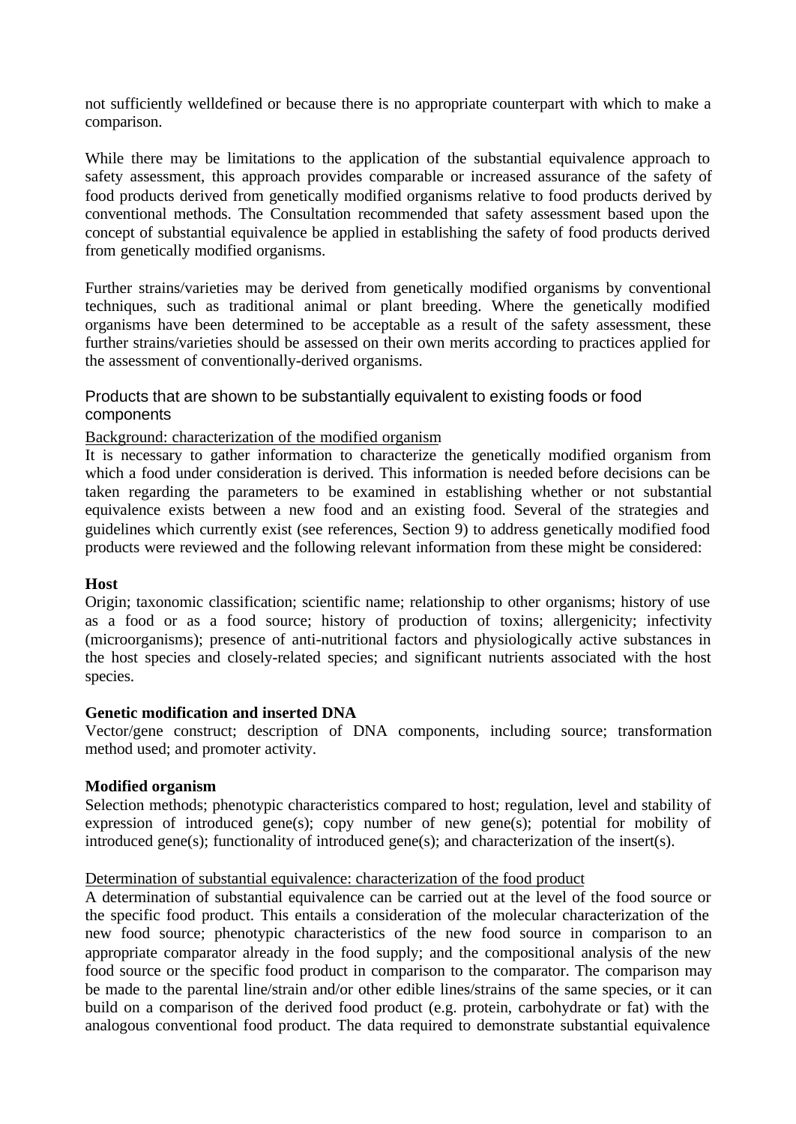not sufficiently welldefined or because there is no appropriate counterpart with which to make a comparison.

While there may be limitations to the application of the substantial equivalence approach to safety assessment, this approach provides comparable or increased assurance of the safety of food products derived from genetically modified organisms relative to food products derived by conventional methods. The Consultation recommended that safety assessment based upon the concept of substantial equivalence be applied in establishing the safety of food products derived from genetically modified organisms.

Further strains/varieties may be derived from genetically modified organisms by conventional techniques, such as traditional animal or plant breeding. Where the genetically modified organisms have been determined to be acceptable as a result of the safety assessment, these further strains/varieties should be assessed on their own merits according to practices applied for the assessment of conventionally-derived organisms.

#### Products that are shown to be substantially equivalent to existing foods or food components

#### Background: characterization of the modified organism

It is necessary to gather information to characterize the genetically modified organism from which a food under consideration is derived. This information is needed before decisions can be taken regarding the parameters to be examined in establishing whether or not substantial equivalence exists between a new food and an existing food. Several of the strategies and guidelines which currently exist (see references, Section 9) to address genetically modified food products were reviewed and the following relevant information from these might be considered:

#### **Host**

Origin; taxonomic classification; scientific name; relationship to other organisms; history of use as a food or as a food source; history of production of toxins; allergenicity; infectivity (microorganisms); presence of anti-nutritional factors and physiologically active substances in the host species and closely-related species; and significant nutrients associated with the host species.

#### **Genetic modification and inserted DNA**

Vector/gene construct; description of DNA components, including source; transformation method used; and promoter activity.

#### **Modified organism**

Selection methods; phenotypic characteristics compared to host; regulation, level and stability of expression of introduced gene(s); copy number of new gene(s); potential for mobility of introduced gene(s); functionality of introduced gene(s); and characterization of the insert(s).

#### Determination of substantial equivalence: characterization of the food product

A determination of substantial equivalence can be carried out at the level of the food source or the specific food product. This entails a consideration of the molecular characterization of the new food source; phenotypic characteristics of the new food source in comparison to an appropriate comparator already in the food supply; and the compositional analysis of the new food source or the specific food product in comparison to the comparator. The comparison may be made to the parental line/strain and/or other edible lines/strains of the same species, or it can build on a comparison of the derived food product (e.g. protein, carbohydrate or fat) with the analogous conventional food product. The data required to demonstrate substantial equivalence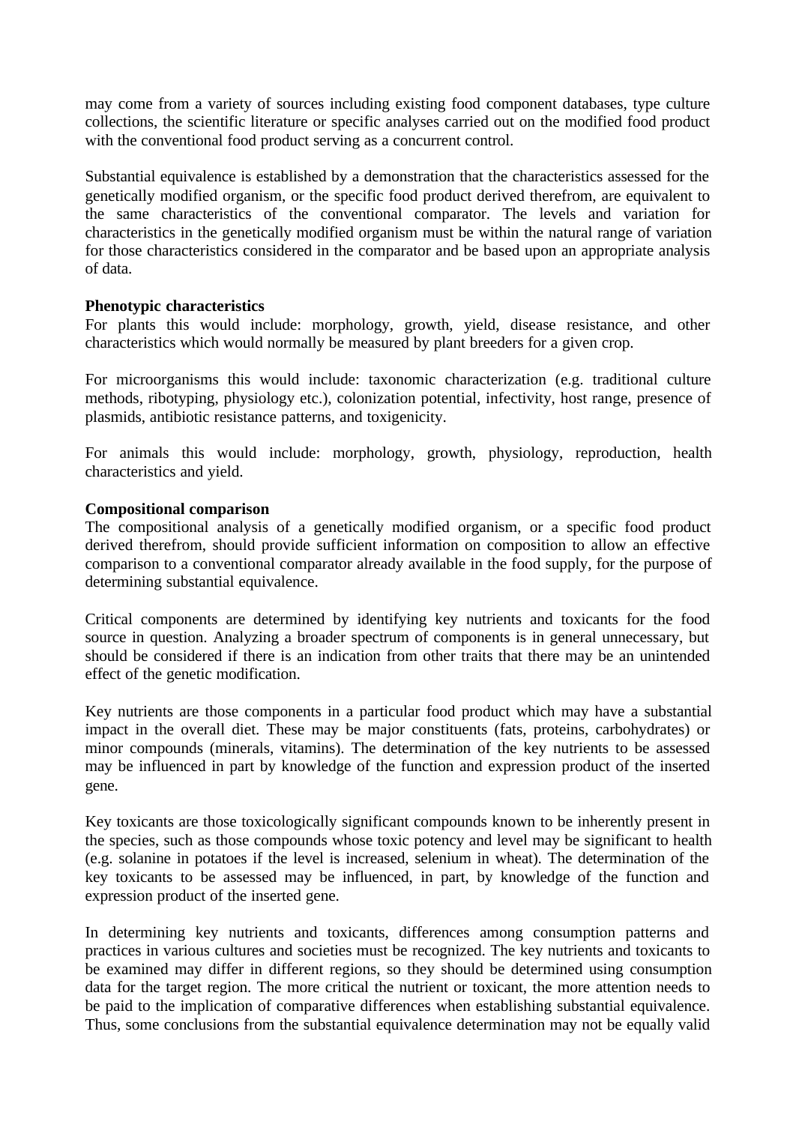may come from a variety of sources including existing food component databases, type culture collections, the scientific literature or specific analyses carried out on the modified food product with the conventional food product serving as a concurrent control.

Substantial equivalence is established by a demonstration that the characteristics assessed for the genetically modified organism, or the specific food product derived therefrom, are equivalent to the same characteristics of the conventional comparator. The levels and variation for characteristics in the genetically modified organism must be within the natural range of variation for those characteristics considered in the comparator and be based upon an appropriate analysis of data.

#### **Phenotypic characteristics**

For plants this would include: morphology, growth, yield, disease resistance, and other characteristics which would normally be measured by plant breeders for a given crop.

For microorganisms this would include: taxonomic characterization (e.g. traditional culture methods, ribotyping, physiology etc.), colonization potential, infectivity, host range, presence of plasmids, antibiotic resistance patterns, and toxigenicity.

For animals this would include: morphology, growth, physiology, reproduction, health characteristics and yield.

#### **Compositional comparison**

The compositional analysis of a genetically modified organism, or a specific food product derived therefrom, should provide sufficient information on composition to allow an effective comparison to a conventional comparator already available in the food supply, for the purpose of determining substantial equivalence.

Critical components are determined by identifying key nutrients and toxicants for the food source in question. Analyzing a broader spectrum of components is in general unnecessary, but should be considered if there is an indication from other traits that there may be an unintended effect of the genetic modification.

Key nutrients are those components in a particular food product which may have a substantial impact in the overall diet. These may be major constituents (fats, proteins, carbohydrates) or minor compounds (minerals, vitamins). The determination of the key nutrients to be assessed may be influenced in part by knowledge of the function and expression product of the inserted gene.

Key toxicants are those toxicologically significant compounds known to be inherently present in the species, such as those compounds whose toxic potency and level may be significant to health (e.g. solanine in potatoes if the level is increased, selenium in wheat). The determination of the key toxicants to be assessed may be influenced, in part, by knowledge of the function and expression product of the inserted gene.

In determining key nutrients and toxicants, differences among consumption patterns and practices in various cultures and societies must be recognized. The key nutrients and toxicants to be examined may differ in different regions, so they should be determined using consumption data for the target region. The more critical the nutrient or toxicant, the more attention needs to be paid to the implication of comparative differences when establishing substantial equivalence. Thus, some conclusions from the substantial equivalence determination may not be equally valid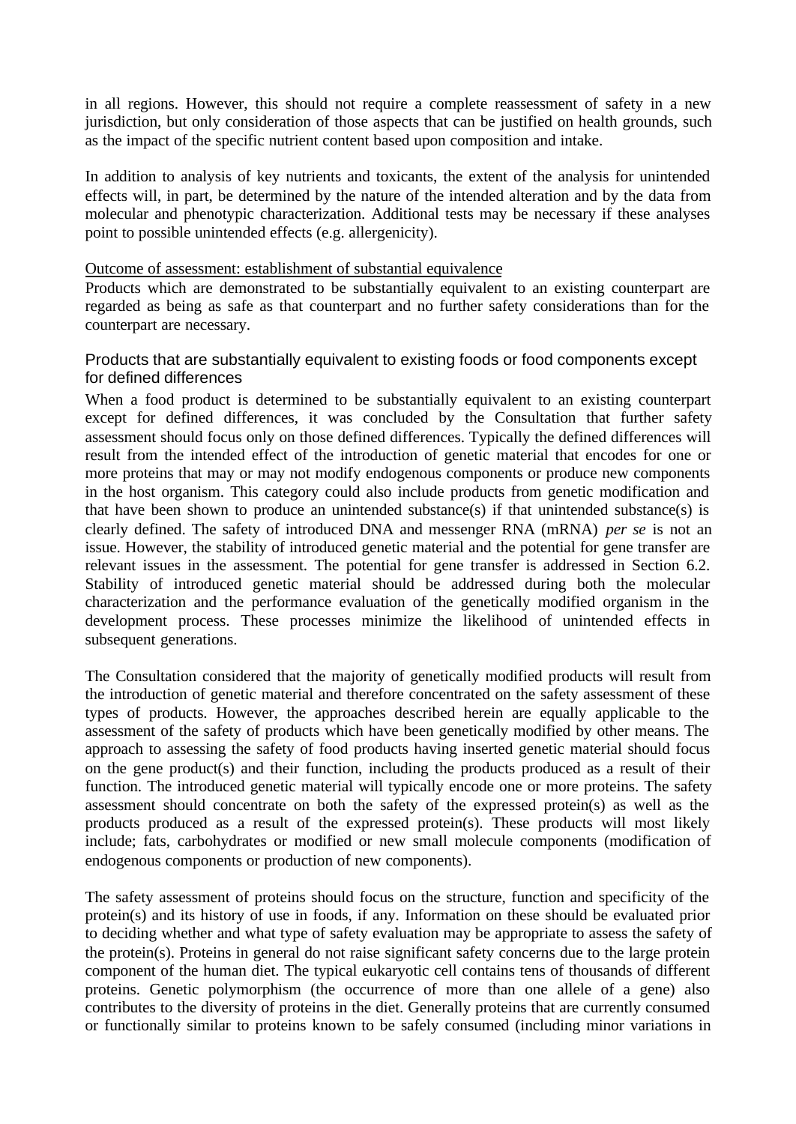in all regions. However, this should not require a complete reassessment of safety in a new jurisdiction, but only consideration of those aspects that can be justified on health grounds, such as the impact of the specific nutrient content based upon composition and intake.

In addition to analysis of key nutrients and toxicants, the extent of the analysis for unintended effects will, in part, be determined by the nature of the intended alteration and by the data from molecular and phenotypic characterization. Additional tests may be necessary if these analyses point to possible unintended effects (e.g. allergenicity).

#### Outcome of assessment: establishment of substantial equivalence

Products which are demonstrated to be substantially equivalent to an existing counterpart are regarded as being as safe as that counterpart and no further safety considerations than for the counterpart are necessary.

#### Products that are substantially equivalent to existing foods or food components except for defined differences

When a food product is determined to be substantially equivalent to an existing counterpart except for defined differences, it was concluded by the Consultation that further safety assessment should focus only on those defined differences. Typically the defined differences will result from the intended effect of the introduction of genetic material that encodes for one or more proteins that may or may not modify endogenous components or produce new components in the host organism. This category could also include products from genetic modification and that have been shown to produce an unintended substance(s) if that unintended substance(s) is clearly defined. The safety of introduced DNA and messenger RNA (mRNA) *per se* is not an issue. However, the stability of introduced genetic material and the potential for gene transfer are relevant issues in the assessment. The potential for gene transfer is addressed in Section 6.2. Stability of introduced genetic material should be addressed during both the molecular characterization and the performance evaluation of the genetically modified organism in the development process. These processes minimize the likelihood of unintended effects in subsequent generations.

The Consultation considered that the majority of genetically modified products will result from the introduction of genetic material and therefore concentrated on the safety assessment of these types of products. However, the approaches described herein are equally applicable to the assessment of the safety of products which have been genetically modified by other means. The approach to assessing the safety of food products having inserted genetic material should focus on the gene product(s) and their function, including the products produced as a result of their function. The introduced genetic material will typically encode one or more proteins. The safety assessment should concentrate on both the safety of the expressed protein(s) as well as the products produced as a result of the expressed protein(s). These products will most likely include; fats, carbohydrates or modified or new small molecule components (modification of endogenous components or production of new components).

The safety assessment of proteins should focus on the structure, function and specificity of the protein(s) and its history of use in foods, if any. Information on these should be evaluated prior to deciding whether and what type of safety evaluation may be appropriate to assess the safety of the protein(s). Proteins in general do not raise significant safety concerns due to the large protein component of the human diet. The typical eukaryotic cell contains tens of thousands of different proteins. Genetic polymorphism (the occurrence of more than one allele of a gene) also contributes to the diversity of proteins in the diet. Generally proteins that are currently consumed or functionally similar to proteins known to be safely consumed (including minor variations in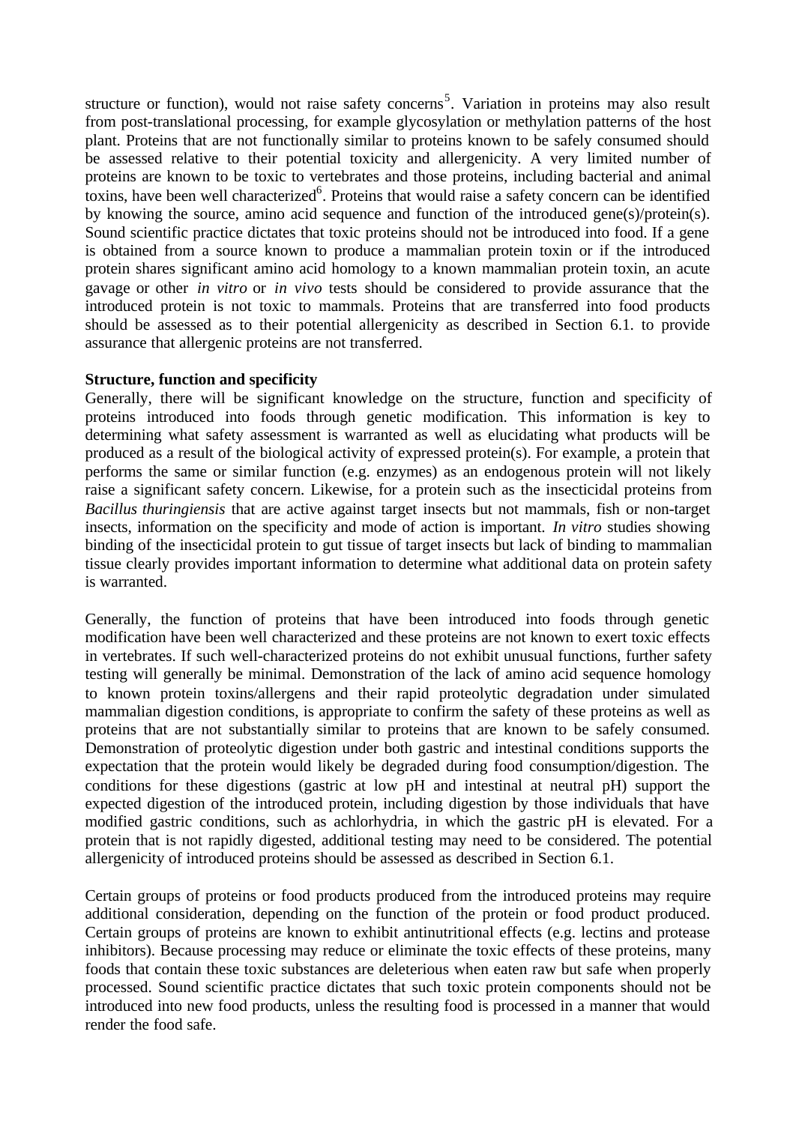structure or function), would not raise safety concerns<sup>5</sup>. Variation in proteins may also result from post-translational processing, for example glycosylation or methylation patterns of the host plant. Proteins that are not functionally similar to proteins known to be safely consumed should be assessed relative to their potential toxicity and allergenicity. A very limited number of proteins are known to be toxic to vertebrates and those proteins, including bacterial and animal toxins, have been well characterized<sup>6</sup>. Proteins that would raise a safety concern can be identified by knowing the source, amino acid sequence and function of the introduced gene(s)/protein(s). Sound scientific practice dictates that toxic proteins should not be introduced into food. If a gene is obtained from a source known to produce a mammalian protein toxin or if the introduced protein shares significant amino acid homology to a known mammalian protein toxin, an acute gavage or other *in vitro* or *in vivo* tests should be considered to provide assurance that the introduced protein is not toxic to mammals. Proteins that are transferred into food products should be assessed as to their potential allergenicity as described in Section 6.1. to provide assurance that allergenic proteins are not transferred.

#### **Structure, function and specificity**

Generally, there will be significant knowledge on the structure, function and specificity of proteins introduced into foods through genetic modification. This information is key to determining what safety assessment is warranted as well as elucidating what products will be produced as a result of the biological activity of expressed protein(s). For example, a protein that performs the same or similar function (e.g. enzymes) as an endogenous protein will not likely raise a significant safety concern. Likewise, for a protein such as the insecticidal proteins from *Bacillus thuringiensis* that are active against target insects but not mammals, fish or non-target insects, information on the specificity and mode of action is important. *In vitro* studies showing binding of the insecticidal protein to gut tissue of target insects but lack of binding to mammalian tissue clearly provides important information to determine what additional data on protein safety is warranted.

Generally, the function of proteins that have been introduced into foods through genetic modification have been well characterized and these proteins are not known to exert toxic effects in vertebrates. If such well-characterized proteins do not exhibit unusual functions, further safety testing will generally be minimal. Demonstration of the lack of amino acid sequence homology to known protein toxins/allergens and their rapid proteolytic degradation under simulated mammalian digestion conditions, is appropriate to confirm the safety of these proteins as well as proteins that are not substantially similar to proteins that are known to be safely consumed. Demonstration of proteolytic digestion under both gastric and intestinal conditions supports the expectation that the protein would likely be degraded during food consumption/digestion. The conditions for these digestions (gastric at low pH and intestinal at neutral pH) support the expected digestion of the introduced protein, including digestion by those individuals that have modified gastric conditions, such as achlorhydria, in which the gastric pH is elevated. For a protein that is not rapidly digested, additional testing may need to be considered. The potential allergenicity of introduced proteins should be assessed as described in Section 6.1.

Certain groups of proteins or food products produced from the introduced proteins may require additional consideration, depending on the function of the protein or food product produced. Certain groups of proteins are known to exhibit antinutritional effects (e.g. lectins and protease inhibitors). Because processing may reduce or eliminate the toxic effects of these proteins, many foods that contain these toxic substances are deleterious when eaten raw but safe when properly processed. Sound scientific practice dictates that such toxic protein components should not be introduced into new food products, unless the resulting food is processed in a manner that would render the food safe.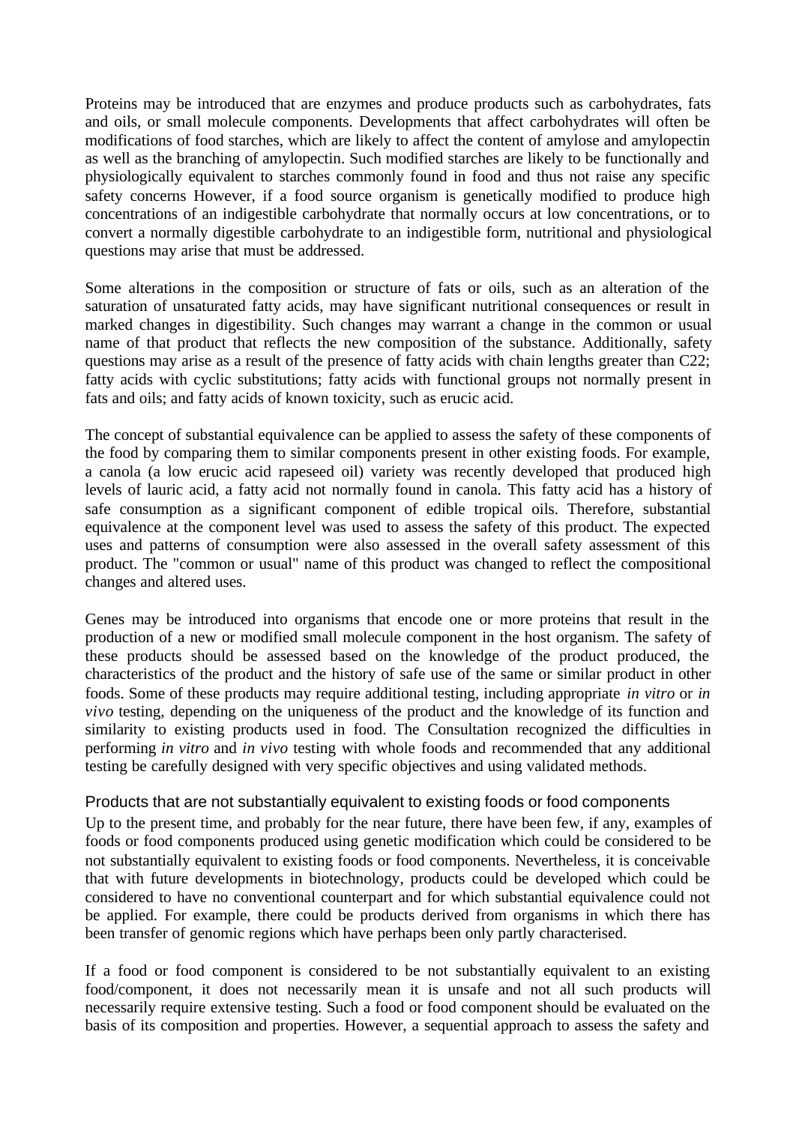Proteins may be introduced that are enzymes and produce products such as carbohydrates, fats and oils, or small molecule components. Developments that affect carbohydrates will often be modifications of food starches, which are likely to affect the content of amylose and amylopectin as well as the branching of amylopectin. Such modified starches are likely to be functionally and physiologically equivalent to starches commonly found in food and thus not raise any specific safety concerns However, if a food source organism is genetically modified to produce high concentrations of an indigestible carbohydrate that normally occurs at low concentrations, or to convert a normally digestible carbohydrate to an indigestible form, nutritional and physiological questions may arise that must be addressed.

Some alterations in the composition or structure of fats or oils, such as an alteration of the saturation of unsaturated fatty acids, may have significant nutritional consequences or result in marked changes in digestibility. Such changes may warrant a change in the common or usual name of that product that reflects the new composition of the substance. Additionally, safety questions may arise as a result of the presence of fatty acids with chain lengths greater than C22; fatty acids with cyclic substitutions; fatty acids with functional groups not normally present in fats and oils; and fatty acids of known toxicity, such as erucic acid.

The concept of substantial equivalence can be applied to assess the safety of these components of the food by comparing them to similar components present in other existing foods. For example, a canola (a low erucic acid rapeseed oil) variety was recently developed that produced high levels of lauric acid, a fatty acid not normally found in canola. This fatty acid has a history of safe consumption as a significant component of edible tropical oils. Therefore, substantial equivalence at the component level was used to assess the safety of this product. The expected uses and patterns of consumption were also assessed in the overall safety assessment of this product. The "common or usual" name of this product was changed to reflect the compositional changes and altered uses.

Genes may be introduced into organisms that encode one or more proteins that result in the production of a new or modified small molecule component in the host organism. The safety of these products should be assessed based on the knowledge of the product produced, the characteristics of the product and the history of safe use of the same or similar product in other foods. Some of these products may require additional testing, including appropriate *in vitro* or *in vivo* testing, depending on the uniqueness of the product and the knowledge of its function and similarity to existing products used in food. The Consultation recognized the difficulties in performing *in vitro* and *in vivo* testing with whole foods and recommended that any additional testing be carefully designed with very specific objectives and using validated methods.

#### Products that are not substantially equivalent to existing foods or food components

Up to the present time, and probably for the near future, there have been few, if any, examples of foods or food components produced using genetic modification which could be considered to be not substantially equivalent to existing foods or food components. Nevertheless, it is conceivable that with future developments in biotechnology, products could be developed which could be considered to have no conventional counterpart and for which substantial equivalence could not be applied. For example, there could be products derived from organisms in which there has been transfer of genomic regions which have perhaps been only partly characterised.

If a food or food component is considered to be not substantially equivalent to an existing food/component, it does not necessarily mean it is unsafe and not all such products will necessarily require extensive testing. Such a food or food component should be evaluated on the basis of its composition and properties. However, a sequential approach to assess the safety and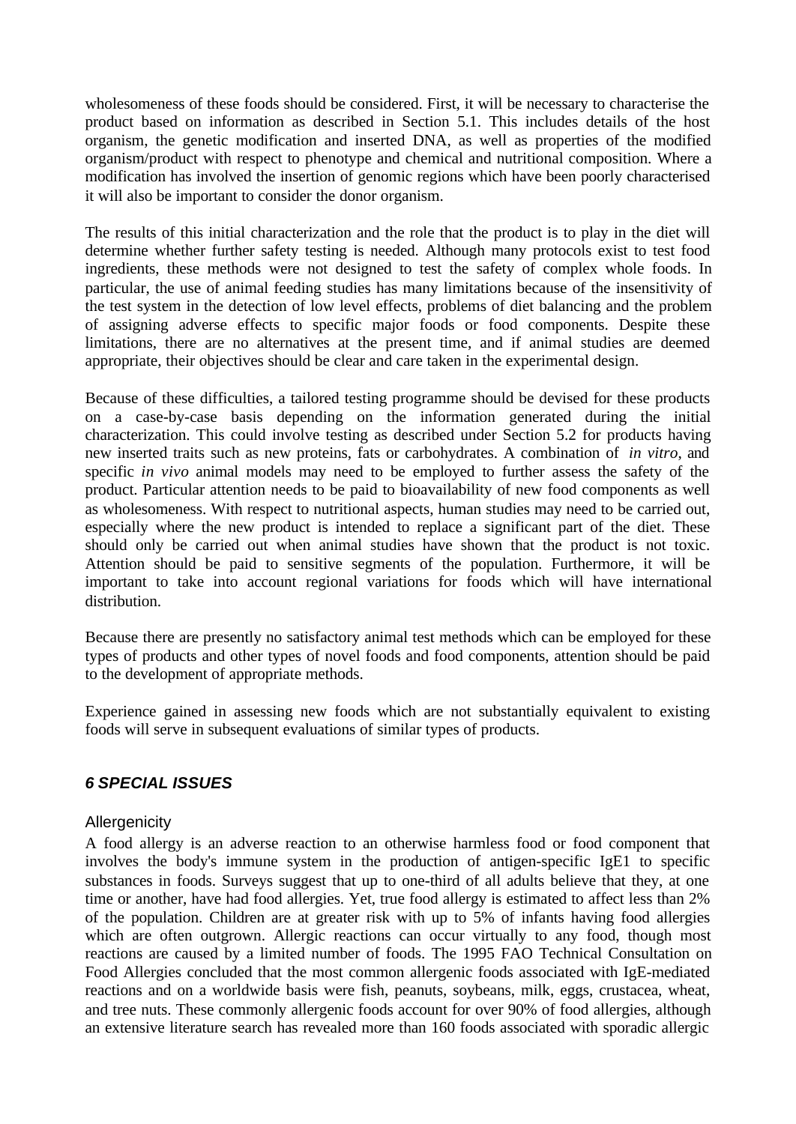wholesomeness of these foods should be considered. First, it will be necessary to characterise the product based on information as described in Section 5.1. This includes details of the host organism, the genetic modification and inserted DNA, as well as properties of the modified organism/product with respect to phenotype and chemical and nutritional composition. Where a modification has involved the insertion of genomic regions which have been poorly characterised it will also be important to consider the donor organism.

The results of this initial characterization and the role that the product is to play in the diet will determine whether further safety testing is needed. Although many protocols exist to test food ingredients, these methods were not designed to test the safety of complex whole foods. In particular, the use of animal feeding studies has many limitations because of the insensitivity of the test system in the detection of low level effects, problems of diet balancing and the problem of assigning adverse effects to specific major foods or food components. Despite these limitations, there are no alternatives at the present time, and if animal studies are deemed appropriate, their objectives should be clear and care taken in the experimental design.

Because of these difficulties, a tailored testing programme should be devised for these products on a case-by-case basis depending on the information generated during the initial characterization. This could involve testing as described under Section 5.2 for products having new inserted traits such as new proteins, fats or carbohydrates. A combination of *in vitro*, and specific *in vivo* animal models may need to be employed to further assess the safety of the product. Particular attention needs to be paid to bioavailability of new food components as well as wholesomeness. With respect to nutritional aspects, human studies may need to be carried out, especially where the new product is intended to replace a significant part of the diet. These should only be carried out when animal studies have shown that the product is not toxic. Attention should be paid to sensitive segments of the population. Furthermore, it will be important to take into account regional variations for foods which will have international distribution.

Because there are presently no satisfactory animal test methods which can be employed for these types of products and other types of novel foods and food components, attention should be paid to the development of appropriate methods.

Experience gained in assessing new foods which are not substantially equivalent to existing foods will serve in subsequent evaluations of similar types of products.

#### *6 SPECIAL ISSUES*

#### **Allergenicity**

A food allergy is an adverse reaction to an otherwise harmless food or food component that involves the body's immune system in the production of antigen-specific IgE1 to specific substances in foods. Surveys suggest that up to one-third of all adults believe that they, at one time or another, have had food allergies. Yet, true food allergy is estimated to affect less than 2% of the population. Children are at greater risk with up to 5% of infants having food allergies which are often outgrown. Allergic reactions can occur virtually to any food, though most reactions are caused by a limited number of foods. The 1995 FAO Technical Consultation on Food Allergies concluded that the most common allergenic foods associated with IgE-mediated reactions and on a worldwide basis were fish, peanuts, soybeans, milk, eggs, crustacea, wheat, and tree nuts. These commonly allergenic foods account for over 90% of food allergies, although an extensive literature search has revealed more than 160 foods associated with sporadic allergic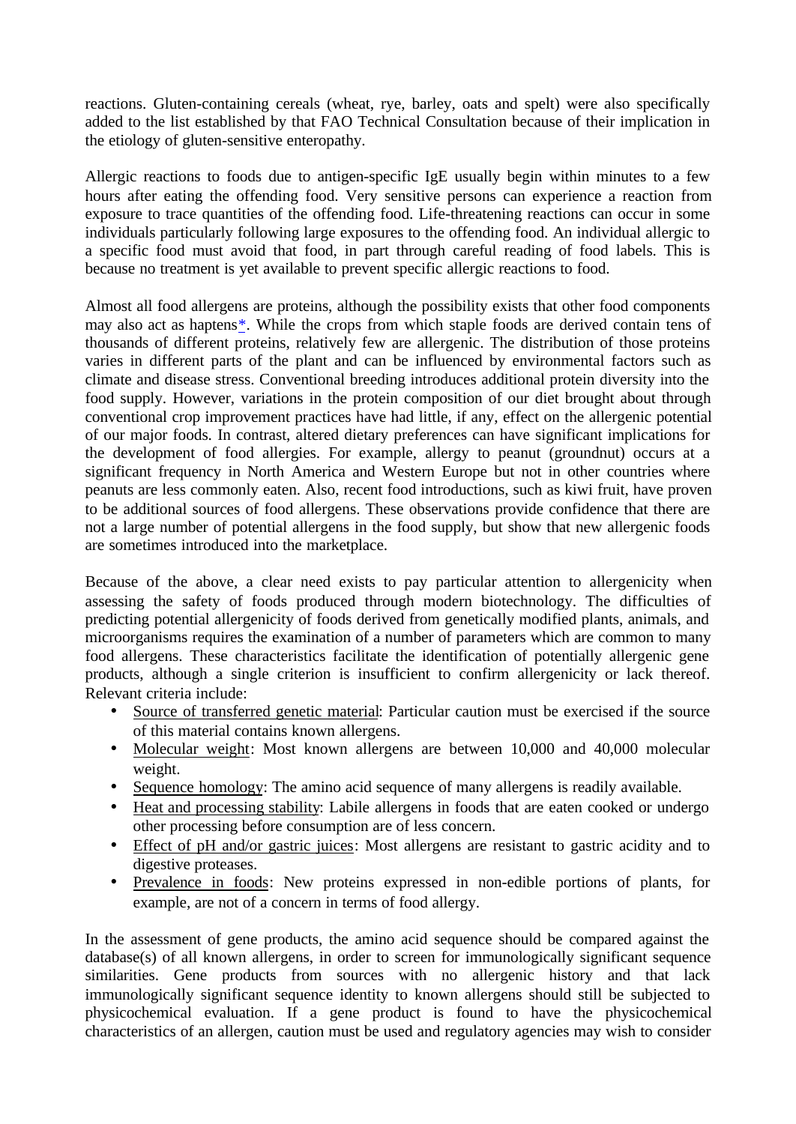reactions. Gluten-containing cereals (wheat, rye, barley, oats and spelt) were also specifically added to the list established by that FAO Technical Consultation because of their implication in the etiology of gluten-sensitive enteropathy.

Allergic reactions to foods due to antigen-specific IgE usually begin within minutes to a few hours after eating the offending food. Very sensitive persons can experience a reaction from exposure to trace quantities of the offending food. Life-threatening reactions can occur in some individuals particularly following large exposures to the offending food. An individual allergic to a specific food must avoid that food, in part through careful reading of food labels. This is because no treatment is yet available to prevent specific allergic reactions to food.

Almost all food allergens are proteins, although the possibility exists that other food components may also act as haptens\*. While the crops from which staple foods are derived contain tens of thousands of different proteins, relatively few are allergenic. The distribution of those proteins varies in different parts of the plant and can be influenced by environmental factors such as climate and disease stress. Conventional breeding introduces additional protein diversity into the food supply. However, variations in the protein composition of our diet brought about through conventional crop improvement practices have had little, if any, effect on the allergenic potential of our major foods. In contrast, altered dietary preferences can have significant implications for the development of food allergies. For example, allergy to peanut (groundnut) occurs at a significant frequency in North America and Western Europe but not in other countries where peanuts are less commonly eaten. Also, recent food introductions, such as kiwi fruit, have proven to be additional sources of food allergens. These observations provide confidence that there are not a large number of potential allergens in the food supply, but show that new allergenic foods are sometimes introduced into the marketplace.

Because of the above, a clear need exists to pay particular attention to allergenicity when assessing the safety of foods produced through modern biotechnology. The difficulties of predicting potential allergenicity of foods derived from genetically modified plants, animals, and microorganisms requires the examination of a number of parameters which are common to many food allergens. These characteristics facilitate the identification of potentially allergenic gene products, although a single criterion is insufficient to confirm allergenicity or lack thereof. Relevant criteria include:

- Source of transferred genetic material: Particular caution must be exercised if the source of this material contains known allergens.
- Molecular weight: Most known allergens are between 10,000 and 40,000 molecular weight.
- Sequence homology: The amino acid sequence of many allergens is readily available.
- Heat and processing stability: Labile allergens in foods that are eaten cooked or undergo other processing before consumption are of less concern.
- Effect of pH and/or gastric juices: Most allergens are resistant to gastric acidity and to digestive proteases.
- Prevalence in foods: New proteins expressed in non-edible portions of plants, for example, are not of a concern in terms of food allergy.

In the assessment of gene products, the amino acid sequence should be compared against the database(s) of all known allergens, in order to screen for immunologically significant sequence similarities. Gene products from sources with no allergenic history and that lack immunologically significant sequence identity to known allergens should still be subjected to physicochemical evaluation. If a gene product is found to have the physicochemical characteristics of an allergen, caution must be used and regulatory agencies may wish to consider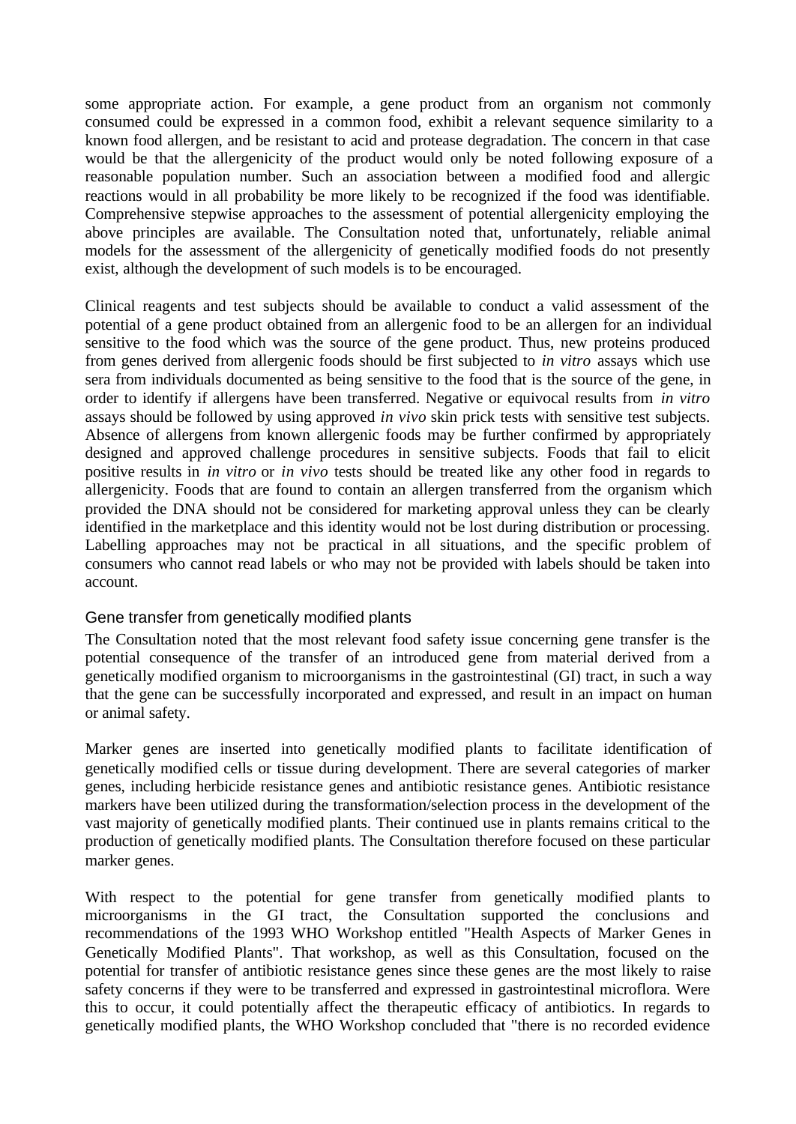some appropriate action. For example, a gene product from an organism not commonly consumed could be expressed in a common food, exhibit a relevant sequence similarity to a known food allergen, and be resistant to acid and protease degradation. The concern in that case would be that the allergenicity of the product would only be noted following exposure of a reasonable population number. Such an association between a modified food and allergic reactions would in all probability be more likely to be recognized if the food was identifiable. Comprehensive stepwise approaches to the assessment of potential allergenicity employing the above principles are available. The Consultation noted that, unfortunately, reliable animal models for the assessment of the allergenicity of genetically modified foods do not presently exist, although the development of such models is to be encouraged.

Clinical reagents and test subjects should be available to conduct a valid assessment of the potential of a gene product obtained from an allergenic food to be an allergen for an individual sensitive to the food which was the source of the gene product. Thus, new proteins produced from genes derived from allergenic foods should be first subjected to *in vitro* assays which use sera from individuals documented as being sensitive to the food that is the source of the gene, in order to identify if allergens have been transferred. Negative or equivocal results from *in vitro* assays should be followed by using approved *in vivo* skin prick tests with sensitive test subjects. Absence of allergens from known allergenic foods may be further confirmed by appropriately designed and approved challenge procedures in sensitive subjects. Foods that fail to elicit positive results in *in vitro* or *in vivo* tests should be treated like any other food in regards to allergenicity. Foods that are found to contain an allergen transferred from the organism which provided the DNA should not be considered for marketing approval unless they can be clearly identified in the marketplace and this identity would not be lost during distribution or processing. Labelling approaches may not be practical in all situations, and the specific problem of consumers who cannot read labels or who may not be provided with labels should be taken into account.

#### Gene transfer from genetically modified plants

The Consultation noted that the most relevant food safety issue concerning gene transfer is the potential consequence of the transfer of an introduced gene from material derived from a genetically modified organism to microorganisms in the gastrointestinal (GI) tract, in such a way that the gene can be successfully incorporated and expressed, and result in an impact on human or animal safety.

Marker genes are inserted into genetically modified plants to facilitate identification of genetically modified cells or tissue during development. There are several categories of marker genes, including herbicide resistance genes and antibiotic resistance genes. Antibiotic resistance markers have been utilized during the transformation/selection process in the development of the vast majority of genetically modified plants. Their continued use in plants remains critical to the production of genetically modified plants. The Consultation therefore focused on these particular marker genes.

With respect to the potential for gene transfer from genetically modified plants to microorganisms in the GI tract, the Consultation supported the conclusions and recommendations of the 1993 WHO Workshop entitled "Health Aspects of Marker Genes in Genetically Modified Plants". That workshop, as well as this Consultation, focused on the potential for transfer of antibiotic resistance genes since these genes are the most likely to raise safety concerns if they were to be transferred and expressed in gastrointestinal microflora. Were this to occur, it could potentially affect the therapeutic efficacy of antibiotics. In regards to genetically modified plants, the WHO Workshop concluded that "there is no recorded evidence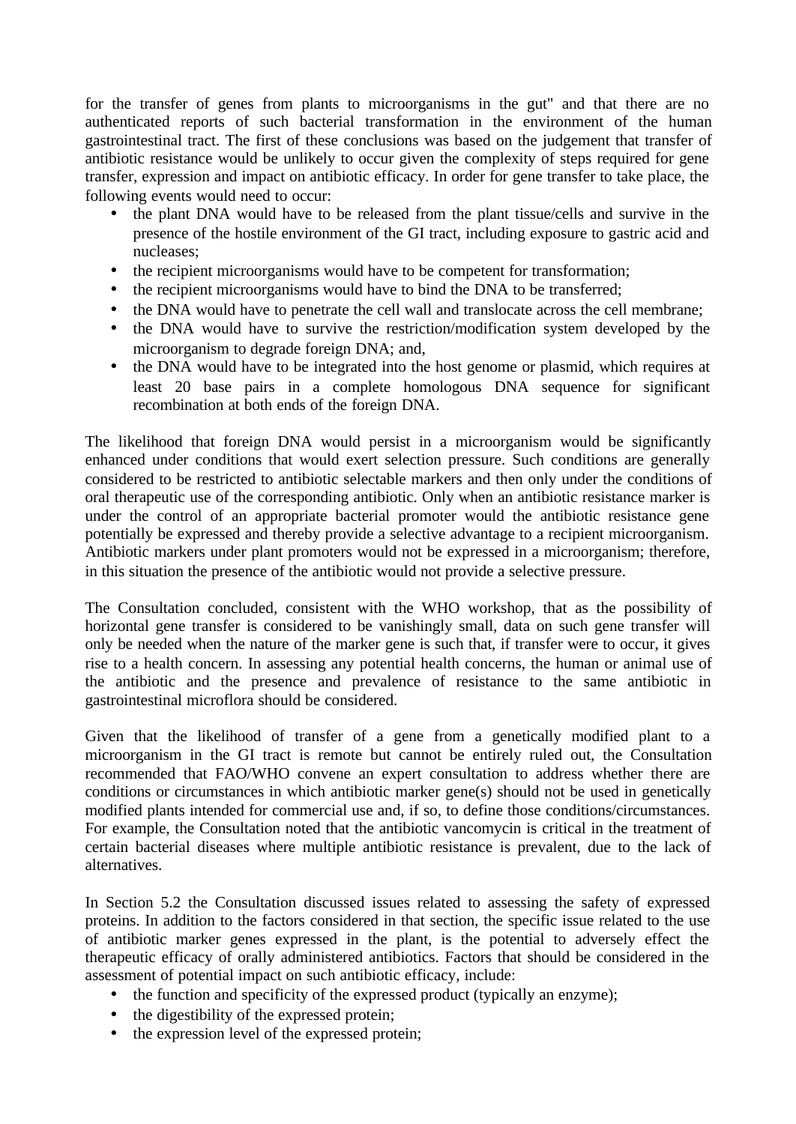for the transfer of genes from plants to microorganisms in the gut" and that there are no authenticated reports of such bacterial transformation in the environment of the human gastrointestinal tract. The first of these conclusions was based on the judgement that transfer of antibiotic resistance would be unlikely to occur given the complexity of steps required for gene transfer, expression and impact on antibiotic efficacy. In order for gene transfer to take place, the following events would need to occur:

- the plant DNA would have to be released from the plant tissue/cells and survive in the presence of the hostile environment of the GI tract, including exposure to gastric acid and nucleases;
- the recipient microorganisms would have to be competent for transformation;
- the recipient microorganisms would have to bind the DNA to be transferred;
- the DNA would have to penetrate the cell wall and translocate across the cell membrane;
- the DNA would have to survive the restriction/modification system developed by the microorganism to degrade foreign DNA; and,
- the DNA would have to be integrated into the host genome or plasmid, which requires at least 20 base pairs in a complete homologous DNA sequence for significant recombination at both ends of the foreign DNA.

The likelihood that foreign DNA would persist in a microorganism would be significantly enhanced under conditions that would exert selection pressure. Such conditions are generally considered to be restricted to antibiotic selectable markers and then only under the conditions of oral therapeutic use of the corresponding antibiotic. Only when an antibiotic resistance marker is under the control of an appropriate bacterial promoter would the antibiotic resistance gene potentially be expressed and thereby provide a selective advantage to a recipient microorganism. Antibiotic markers under plant promoters would not be expressed in a microorganism; therefore, in this situation the presence of the antibiotic would not provide a selective pressure.

The Consultation concluded, consistent with the WHO workshop, that as the possibility of horizontal gene transfer is considered to be vanishingly small, data on such gene transfer will only be needed when the nature of the marker gene is such that, if transfer were to occur, it gives rise to a health concern. In assessing any potential health concerns, the human or animal use of the antibiotic and the presence and prevalence of resistance to the same antibiotic in gastrointestinal microflora should be considered.

Given that the likelihood of transfer of a gene from a genetically modified plant to a microorganism in the GI tract is remote but cannot be entirely ruled out, the Consultation recommended that FAO/WHO convene an expert consultation to address whether there are conditions or circumstances in which antibiotic marker gene(s) should not be used in genetically modified plants intended for commercial use and, if so, to define those conditions/circumstances. For example, the Consultation noted that the antibiotic vancomycin is critical in the treatment of certain bacterial diseases where multiple antibiotic resistance is prevalent, due to the lack of alternatives.

In Section 5.2 the Consultation discussed issues related to assessing the safety of expressed proteins. In addition to the factors considered in that section, the specific issue related to the use of antibiotic marker genes expressed in the plant, is the potential to adversely effect the therapeutic efficacy of orally administered antibiotics. Factors that should be considered in the assessment of potential impact on such antibiotic efficacy, include:

- the function and specificity of the expressed product (typically an enzyme);
- the digestibility of the expressed protein;
- the expression level of the expressed protein;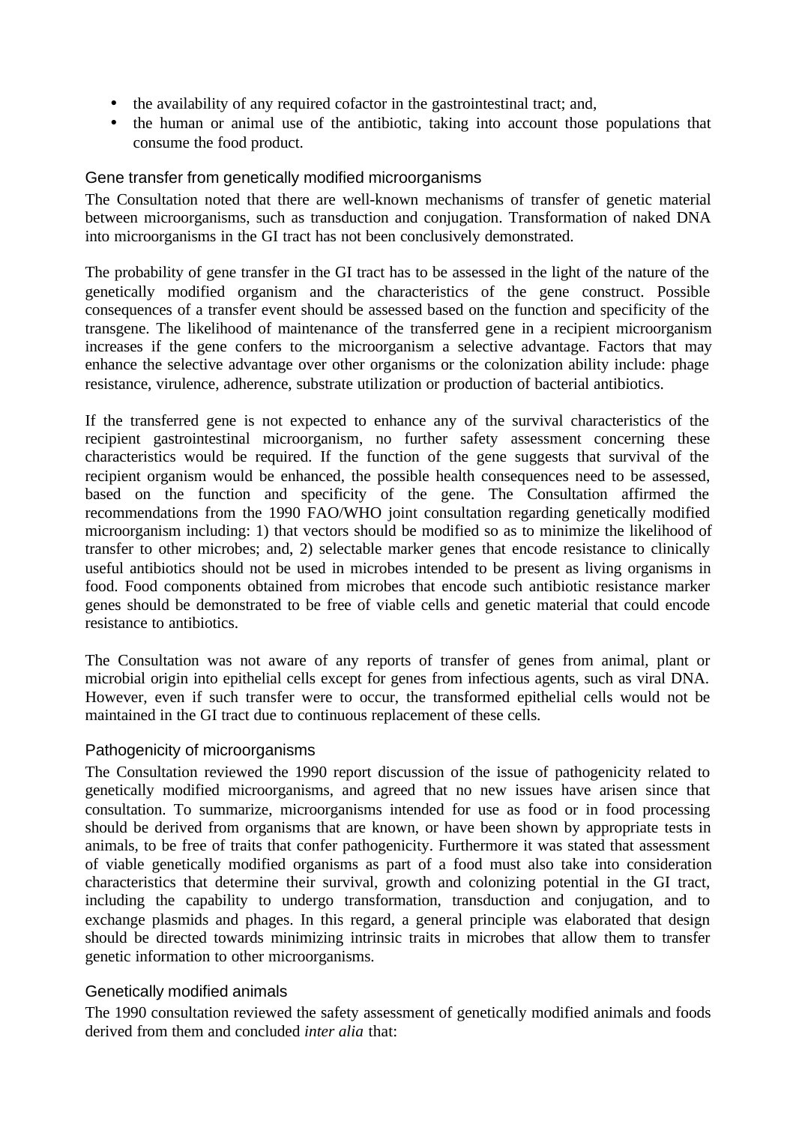- the availability of any required cofactor in the gastrointestinal tract; and,
- the human or animal use of the antibiotic, taking into account those populations that consume the food product.

#### Gene transfer from genetically modified microorganisms

The Consultation noted that there are well-known mechanisms of transfer of genetic material between microorganisms, such as transduction and conjugation. Transformation of naked DNA into microorganisms in the GI tract has not been conclusively demonstrated.

The probability of gene transfer in the GI tract has to be assessed in the light of the nature of the genetically modified organism and the characteristics of the gene construct. Possible consequences of a transfer event should be assessed based on the function and specificity of the transgene. The likelihood of maintenance of the transferred gene in a recipient microorganism increases if the gene confers to the microorganism a selective advantage. Factors that may enhance the selective advantage over other organisms or the colonization ability include: phage resistance, virulence, adherence, substrate utilization or production of bacterial antibiotics.

If the transferred gene is not expected to enhance any of the survival characteristics of the recipient gastrointestinal microorganism, no further safety assessment concerning these characteristics would be required. If the function of the gene suggests that survival of the recipient organism would be enhanced, the possible health consequences need to be assessed, based on the function and specificity of the gene. The Consultation affirmed the recommendations from the 1990 FAO/WHO joint consultation regarding genetically modified microorganism including: 1) that vectors should be modified so as to minimize the likelihood of transfer to other microbes; and, 2) selectable marker genes that encode resistance to clinically useful antibiotics should not be used in microbes intended to be present as living organisms in food. Food components obtained from microbes that encode such antibiotic resistance marker genes should be demonstrated to be free of viable cells and genetic material that could encode resistance to antibiotics.

The Consultation was not aware of any reports of transfer of genes from animal, plant or microbial origin into epithelial cells except for genes from infectious agents, such as viral DNA. However, even if such transfer were to occur, the transformed epithelial cells would not be maintained in the GI tract due to continuous replacement of these cells.

#### Pathogenicity of microorganisms

The Consultation reviewed the 1990 report discussion of the issue of pathogenicity related to genetically modified microorganisms, and agreed that no new issues have arisen since that consultation. To summarize, microorganisms intended for use as food or in food processing should be derived from organisms that are known, or have been shown by appropriate tests in animals, to be free of traits that confer pathogenicity. Furthermore it was stated that assessment of viable genetically modified organisms as part of a food must also take into consideration characteristics that determine their survival, growth and colonizing potential in the GI tract, including the capability to undergo transformation, transduction and conjugation, and to exchange plasmids and phages. In this regard, a general principle was elaborated that design should be directed towards minimizing intrinsic traits in microbes that allow them to transfer genetic information to other microorganisms.

#### Genetically modified animals

The 1990 consultation reviewed the safety assessment of genetically modified animals and foods derived from them and concluded *inter alia* that: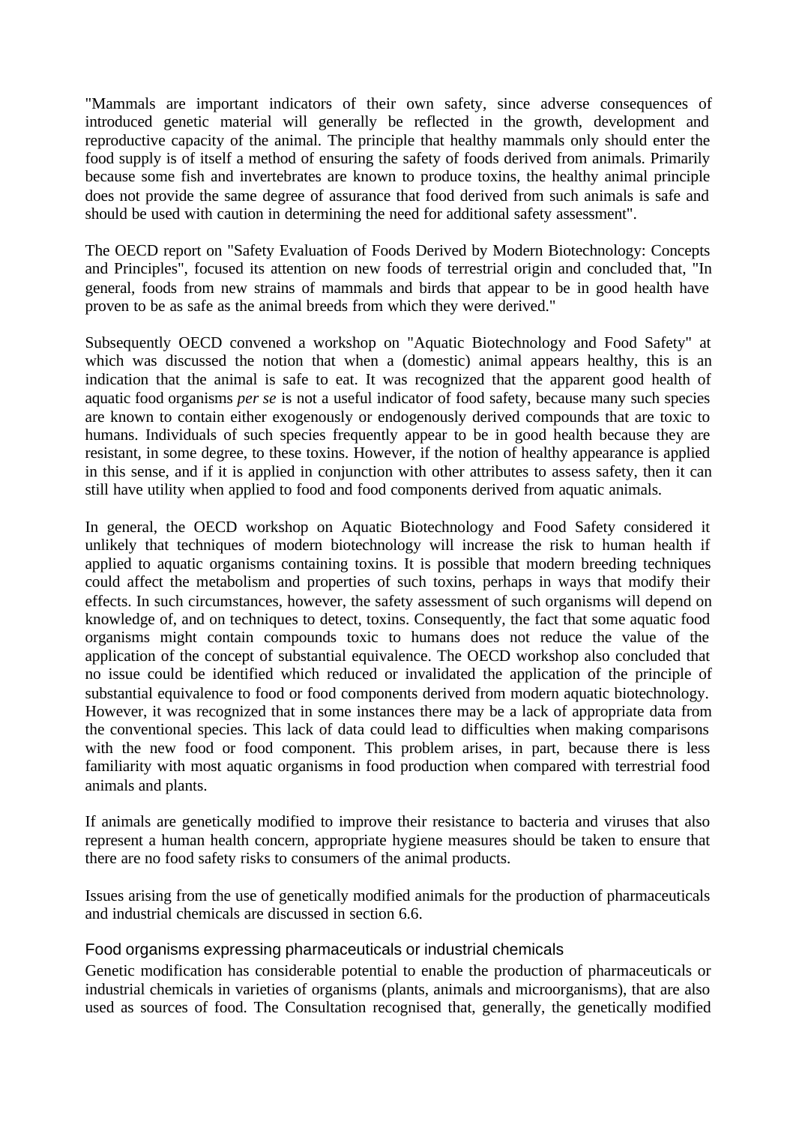"Mammals are important indicators of their own safety, since adverse consequences of introduced genetic material will generally be reflected in the growth, development and reproductive capacity of the animal. The principle that healthy mammals only should enter the food supply is of itself a method of ensuring the safety of foods derived from animals. Primarily because some fish and invertebrates are known to produce toxins, the healthy animal principle does not provide the same degree of assurance that food derived from such animals is safe and should be used with caution in determining the need for additional safety assessment".

The OECD report on "Safety Evaluation of Foods Derived by Modern Biotechnology: Concepts and Principles", focused its attention on new foods of terrestrial origin and concluded that, "In general, foods from new strains of mammals and birds that appear to be in good health have proven to be as safe as the animal breeds from which they were derived."

Subsequently OECD convened a workshop on "Aquatic Biotechnology and Food Safety" at which was discussed the notion that when a (domestic) animal appears healthy, this is an indication that the animal is safe to eat. It was recognized that the apparent good health of aquatic food organisms *per se* is not a useful indicator of food safety, because many such species are known to contain either exogenously or endogenously derived compounds that are toxic to humans. Individuals of such species frequently appear to be in good health because they are resistant, in some degree, to these toxins. However, if the notion of healthy appearance is applied in this sense, and if it is applied in conjunction with other attributes to assess safety, then it can still have utility when applied to food and food components derived from aquatic animals.

In general, the OECD workshop on Aquatic Biotechnology and Food Safety considered it unlikely that techniques of modern biotechnology will increase the risk to human health if applied to aquatic organisms containing toxins. It is possible that modern breeding techniques could affect the metabolism and properties of such toxins, perhaps in ways that modify their effects. In such circumstances, however, the safety assessment of such organisms will depend on knowledge of, and on techniques to detect, toxins. Consequently, the fact that some aquatic food organisms might contain compounds toxic to humans does not reduce the value of the application of the concept of substantial equivalence. The OECD workshop also concluded that no issue could be identified which reduced or invalidated the application of the principle of substantial equivalence to food or food components derived from modern aquatic biotechnology. However, it was recognized that in some instances there may be a lack of appropriate data from the conventional species. This lack of data could lead to difficulties when making comparisons with the new food or food component. This problem arises, in part, because there is less familiarity with most aquatic organisms in food production when compared with terrestrial food animals and plants.

If animals are genetically modified to improve their resistance to bacteria and viruses that also represent a human health concern, appropriate hygiene measures should be taken to ensure that there are no food safety risks to consumers of the animal products.

Issues arising from the use of genetically modified animals for the production of pharmaceuticals and industrial chemicals are discussed in section 6.6.

#### Food organisms expressing pharmaceuticals or industrial chemicals

Genetic modification has considerable potential to enable the production of pharmaceuticals or industrial chemicals in varieties of organisms (plants, animals and microorganisms), that are also used as sources of food. The Consultation recognised that, generally, the genetically modified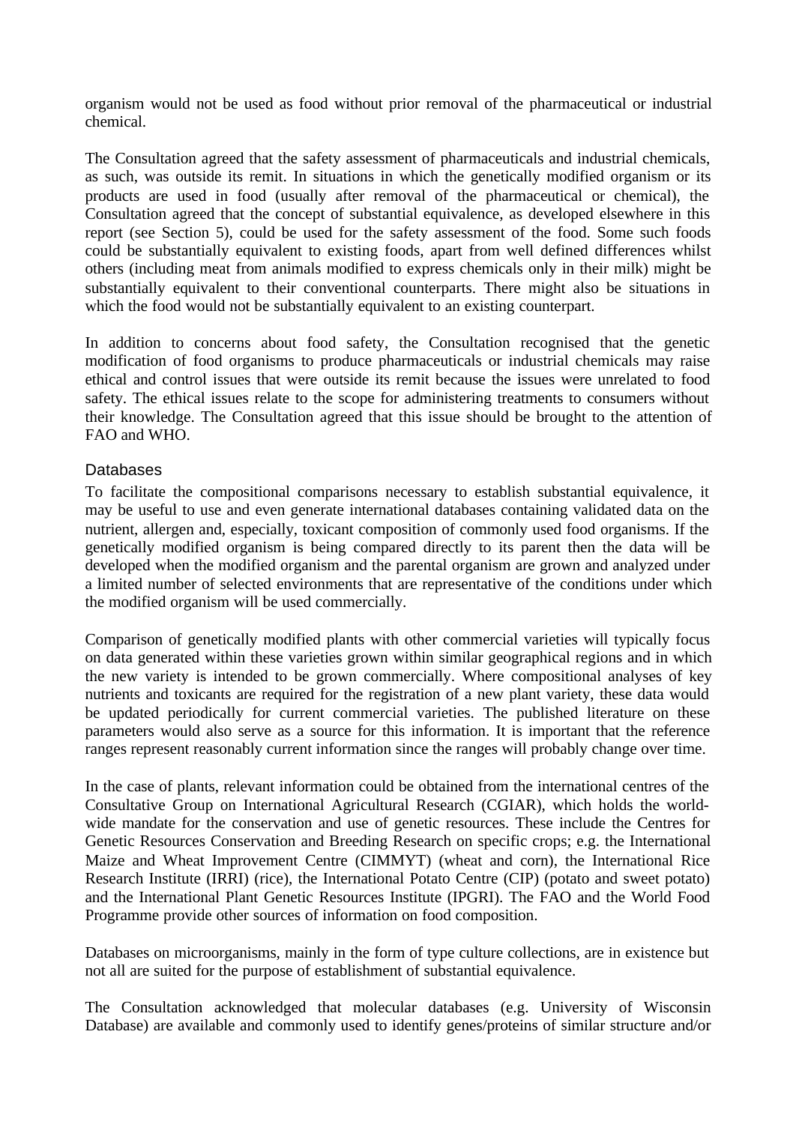organism would not be used as food without prior removal of the pharmaceutical or industrial chemical.

The Consultation agreed that the safety assessment of pharmaceuticals and industrial chemicals, as such, was outside its remit. In situations in which the genetically modified organism or its products are used in food (usually after removal of the pharmaceutical or chemical), the Consultation agreed that the concept of substantial equivalence, as developed elsewhere in this report (see Section 5), could be used for the safety assessment of the food. Some such foods could be substantially equivalent to existing foods, apart from well defined differences whilst others (including meat from animals modified to express chemicals only in their milk) might be substantially equivalent to their conventional counterparts. There might also be situations in which the food would not be substantially equivalent to an existing counterpart.

In addition to concerns about food safety, the Consultation recognised that the genetic modification of food organisms to produce pharmaceuticals or industrial chemicals may raise ethical and control issues that were outside its remit because the issues were unrelated to food safety. The ethical issues relate to the scope for administering treatments to consumers without their knowledge. The Consultation agreed that this issue should be brought to the attention of FAO and WHO.

#### **Databases**

To facilitate the compositional comparisons necessary to establish substantial equivalence, it may be useful to use and even generate international databases containing validated data on the nutrient, allergen and, especially, toxicant composition of commonly used food organisms. If the genetically modified organism is being compared directly to its parent then the data will be developed when the modified organism and the parental organism are grown and analyzed under a limited number of selected environments that are representative of the conditions under which the modified organism will be used commercially.

Comparison of genetically modified plants with other commercial varieties will typically focus on data generated within these varieties grown within similar geographical regions and in which the new variety is intended to be grown commercially. Where compositional analyses of key nutrients and toxicants are required for the registration of a new plant variety, these data would be updated periodically for current commercial varieties. The published literature on these parameters would also serve as a source for this information. It is important that the reference ranges represent reasonably current information since the ranges will probably change over time.

In the case of plants, relevant information could be obtained from the international centres of the Consultative Group on International Agricultural Research (CGIAR), which holds the worldwide mandate for the conservation and use of genetic resources. These include the Centres for Genetic Resources Conservation and Breeding Research on specific crops; e.g. the International Maize and Wheat Improvement Centre (CIMMYT) (wheat and corn), the International Rice Research Institute (IRRI) (rice), the International Potato Centre (CIP) (potato and sweet potato) and the International Plant Genetic Resources Institute (IPGRI). The FAO and the World Food Programme provide other sources of information on food composition.

Databases on microorganisms, mainly in the form of type culture collections, are in existence but not all are suited for the purpose of establishment of substantial equivalence.

The Consultation acknowledged that molecular databases (e.g. University of Wisconsin Database) are available and commonly used to identify genes/proteins of similar structure and/or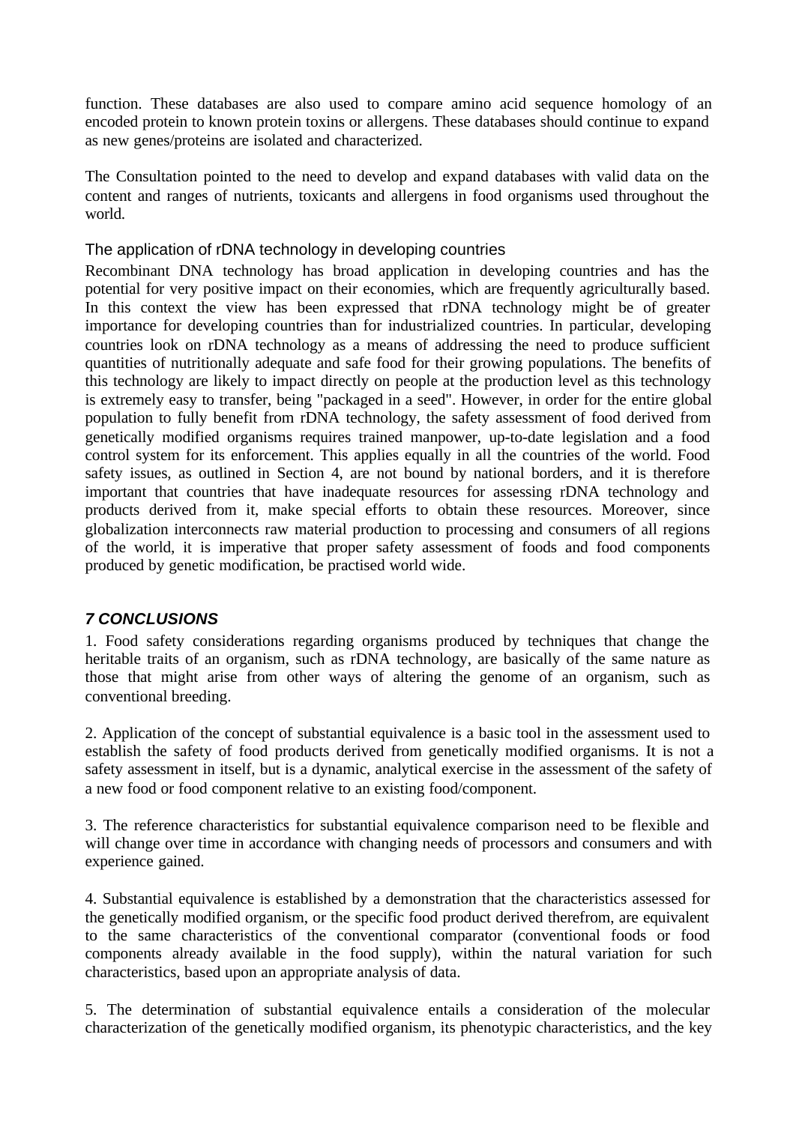function. These databases are also used to compare amino acid sequence homology of an encoded protein to known protein toxins or allergens. These databases should continue to expand as new genes/proteins are isolated and characterized.

The Consultation pointed to the need to develop and expand databases with valid data on the content and ranges of nutrients, toxicants and allergens in food organisms used throughout the world.

#### The application of rDNA technology in developing countries

Recombinant DNA technology has broad application in developing countries and has the potential for very positive impact on their economies, which are frequently agriculturally based. In this context the view has been expressed that rDNA technology might be of greater importance for developing countries than for industrialized countries. In particular, developing countries look on rDNA technology as a means of addressing the need to produce sufficient quantities of nutritionally adequate and safe food for their growing populations. The benefits of this technology are likely to impact directly on people at the production level as this technology is extremely easy to transfer, being "packaged in a seed". However, in order for the entire global population to fully benefit from rDNA technology, the safety assessment of food derived from genetically modified organisms requires trained manpower, up-to-date legislation and a food control system for its enforcement. This applies equally in all the countries of the world. Food safety issues, as outlined in Section 4, are not bound by national borders, and it is therefore important that countries that have inadequate resources for assessing rDNA technology and products derived from it, make special efforts to obtain these resources. Moreover, since globalization interconnects raw material production to processing and consumers of all regions of the world, it is imperative that proper safety assessment of foods and food components produced by genetic modification, be practised world wide.

#### *7 CONCLUSIONS*

1. Food safety considerations regarding organisms produced by techniques that change the heritable traits of an organism, such as rDNA technology, are basically of the same nature as those that might arise from other ways of altering the genome of an organism, such as conventional breeding.

2. Application of the concept of substantial equivalence is a basic tool in the assessment used to establish the safety of food products derived from genetically modified organisms. It is not a safety assessment in itself, but is a dynamic, analytical exercise in the assessment of the safety of a new food or food component relative to an existing food/component.

3. The reference characteristics for substantial equivalence comparison need to be flexible and will change over time in accordance with changing needs of processors and consumers and with experience gained.

4. Substantial equivalence is established by a demonstration that the characteristics assessed for the genetically modified organism, or the specific food product derived therefrom, are equivalent to the same characteristics of the conventional comparator (conventional foods or food components already available in the food supply), within the natural variation for such characteristics, based upon an appropriate analysis of data.

5. The determination of substantial equivalence entails a consideration of the molecular characterization of the genetically modified organism, its phenotypic characteristics, and the key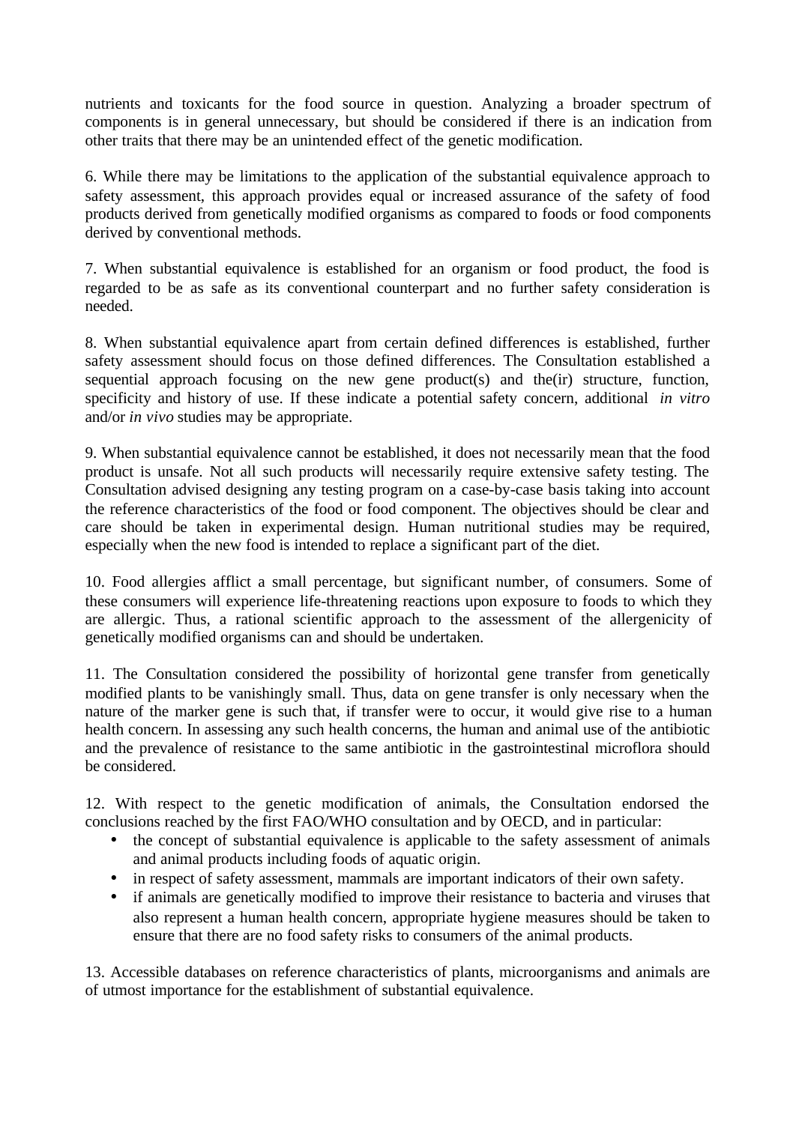nutrients and toxicants for the food source in question. Analyzing a broader spectrum of components is in general unnecessary, but should be considered if there is an indication from other traits that there may be an unintended effect of the genetic modification.

6. While there may be limitations to the application of the substantial equivalence approach to safety assessment, this approach provides equal or increased assurance of the safety of food products derived from genetically modified organisms as compared to foods or food components derived by conventional methods.

7. When substantial equivalence is established for an organism or food product, the food is regarded to be as safe as its conventional counterpart and no further safety consideration is needed.

8. When substantial equivalence apart from certain defined differences is established, further safety assessment should focus on those defined differences. The Consultation established a sequential approach focusing on the new gene product(s) and the(ir) structure, function, specificity and history of use. If these indicate a potential safety concern, additional *in vitro* and/or *in vivo* studies may be appropriate.

9. When substantial equivalence cannot be established, it does not necessarily mean that the food product is unsafe. Not all such products will necessarily require extensive safety testing. The Consultation advised designing any testing program on a case-by-case basis taking into account the reference characteristics of the food or food component. The objectives should be clear and care should be taken in experimental design. Human nutritional studies may be required, especially when the new food is intended to replace a significant part of the diet.

10. Food allergies afflict a small percentage, but significant number, of consumers. Some of these consumers will experience life-threatening reactions upon exposure to foods to which they are allergic. Thus, a rational scientific approach to the assessment of the allergenicity of genetically modified organisms can and should be undertaken.

11. The Consultation considered the possibility of horizontal gene transfer from genetically modified plants to be vanishingly small. Thus, data on gene transfer is only necessary when the nature of the marker gene is such that, if transfer were to occur, it would give rise to a human health concern. In assessing any such health concerns, the human and animal use of the antibiotic and the prevalence of resistance to the same antibiotic in the gastrointestinal microflora should be considered.

12. With respect to the genetic modification of animals, the Consultation endorsed the conclusions reached by the first FAO/WHO consultation and by OECD, and in particular:

- the concept of substantial equivalence is applicable to the safety assessment of animals and animal products including foods of aquatic origin.
- in respect of safety assessment, mammals are important indicators of their own safety.
- if animals are genetically modified to improve their resistance to bacteria and viruses that also represent a human health concern, appropriate hygiene measures should be taken to ensure that there are no food safety risks to consumers of the animal products.

13. Accessible databases on reference characteristics of plants, microorganisms and animals are of utmost importance for the establishment of substantial equivalence.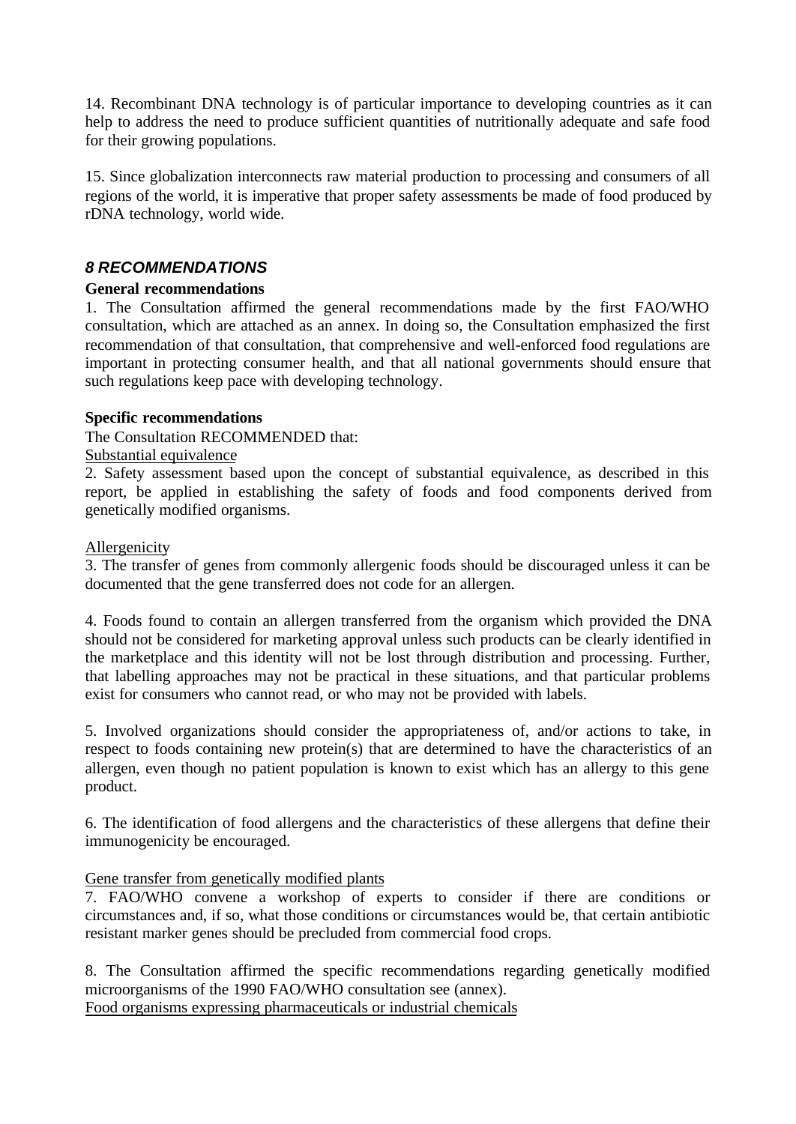14. Recombinant DNA technology is of particular importance to developing countries as it can help to address the need to produce sufficient quantities of nutritionally adequate and safe food for their growing populations.

15. Since globalization interconnects raw material production to processing and consumers of all regions of the world, it is imperative that proper safety assessments be made of food produced by rDNA technology, world wide.

# *8 RECOMMENDATIONS*

#### **General recommendations**

1. The Consultation affirmed the general recommendations made by the first FAO/WHO consultation, which are attached as an annex. In doing so, the Consultation emphasized the first recommendation of that consultation, that comprehensive and well-enforced food regulations are important in protecting consumer health, and that all national governments should ensure that such regulations keep pace with developing technology.

#### **Specific recommendations**

The Consultation RECOMMENDED that:

#### Substantial equivalence

2. Safety assessment based upon the concept of substantial equivalence, as described in this report, be applied in establishing the safety of foods and food components derived from genetically modified organisms.

#### **Allergenicity**

3. The transfer of genes from commonly allergenic foods should be discouraged unless it can be documented that the gene transferred does not code for an allergen.

4. Foods found to contain an allergen transferred from the organism which provided the DNA should not be considered for marketing approval unless such products can be clearly identified in the marketplace and this identity will not be lost through distribution and processing. Further, that labelling approaches may not be practical in these situations, and that particular problems exist for consumers who cannot read, or who may not be provided with labels.

5. Involved organizations should consider the appropriateness of, and/or actions to take, in respect to foods containing new protein(s) that are determined to have the characteristics of an allergen, even though no patient population is known to exist which has an allergy to this gene product.

6. The identification of food allergens and the characteristics of these allergens that define their immunogenicity be encouraged.

#### Gene transfer from genetically modified plants

7. FAO/WHO convene a workshop of experts to consider if there are conditions or circumstances and, if so, what those conditions or circumstances would be, that certain antibiotic resistant marker genes should be precluded from commercial food crops.

8. The Consultation affirmed the specific recommendations regarding genetically modified microorganisms of the 1990 FAO/WHO consultation see (annex). Food organisms expressing pharmaceuticals or industrial chemicals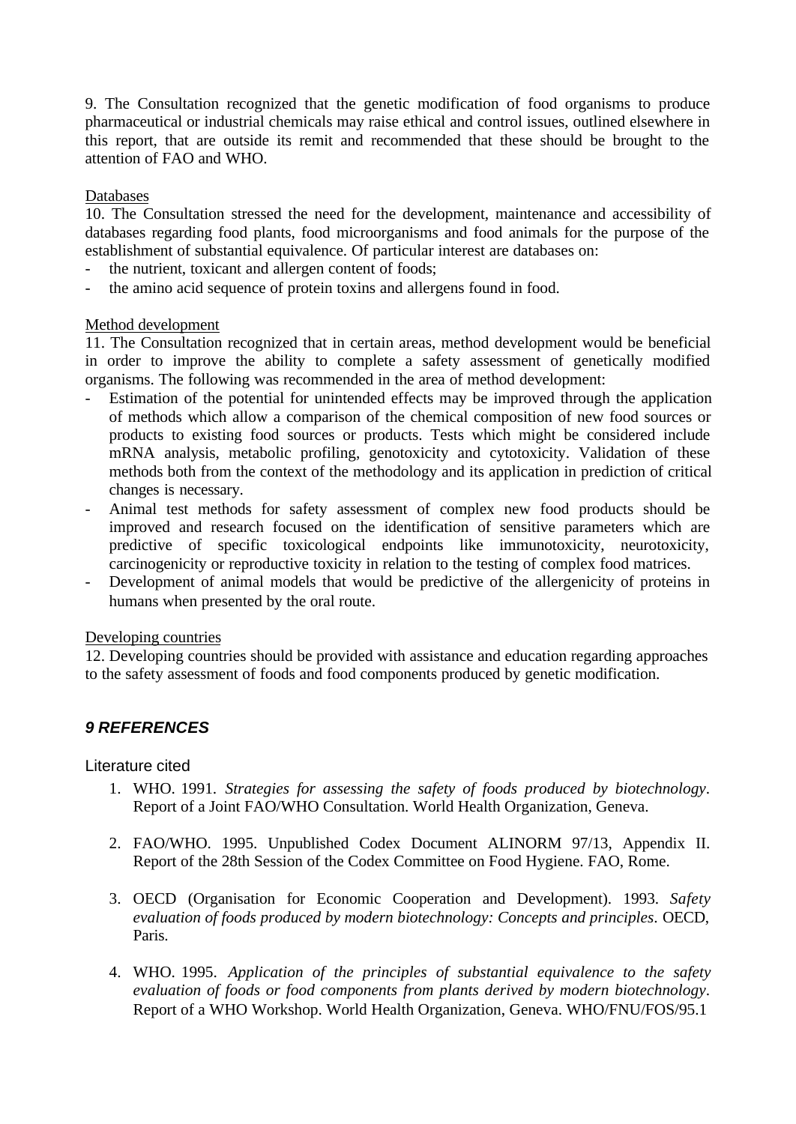9. The Consultation recognized that the genetic modification of food organisms to produce pharmaceutical or industrial chemicals may raise ethical and control issues, outlined elsewhere in this report, that are outside its remit and recommended that these should be brought to the attention of FAO and WHO.

#### Databases

10. The Consultation stressed the need for the development, maintenance and accessibility of databases regarding food plants, food microorganisms and food animals for the purpose of the establishment of substantial equivalence. Of particular interest are databases on:

- the nutrient, toxicant and allergen content of foods;
- the amino acid sequence of protein toxins and allergens found in food.

#### Method development

11. The Consultation recognized that in certain areas, method development would be beneficial in order to improve the ability to complete a safety assessment of genetically modified organisms. The following was recommended in the area of method development:

- Estimation of the potential for unintended effects may be improved through the application of methods which allow a comparison of the chemical composition of new food sources or products to existing food sources or products. Tests which might be considered include mRNA analysis, metabolic profiling, genotoxicity and cytotoxicity. Validation of these methods both from the context of the methodology and its application in prediction of critical changes is necessary.
- Animal test methods for safety assessment of complex new food products should be improved and research focused on the identification of sensitive parameters which are predictive of specific toxicological endpoints like immunotoxicity, neurotoxicity, carcinogenicity or reproductive toxicity in relation to the testing of complex food matrices.
- Development of animal models that would be predictive of the allergenicity of proteins in humans when presented by the oral route.

#### Developing countries

12. Developing countries should be provided with assistance and education regarding approaches to the safety assessment of foods and food components produced by genetic modification.

# *9 REFERENCES*

Literature cited

- 1. WHO. 1991. *Strategies for assessing the safety of foods produced by biotechnology*. Report of a Joint FAO/WHO Consultation. World Health Organization, Geneva.
- 2. FAO/WHO. 1995. Unpublished Codex Document ALINORM 97/13, Appendix II. Report of the 28th Session of the Codex Committee on Food Hygiene. FAO, Rome.
- 3. OECD (Organisation for Economic Cooperation and Development). 1993. *Safety evaluation of foods produced by modern biotechnology: Concepts and principles*. OECD, Paris.
- 4. WHO. 1995. *Application of the principles of substantial equivalence to the safety evaluation of foods or food components from plants derived by modern biotechnology*. Report of a WHO Workshop. World Health Organization, Geneva. WHO/FNU/FOS/95.1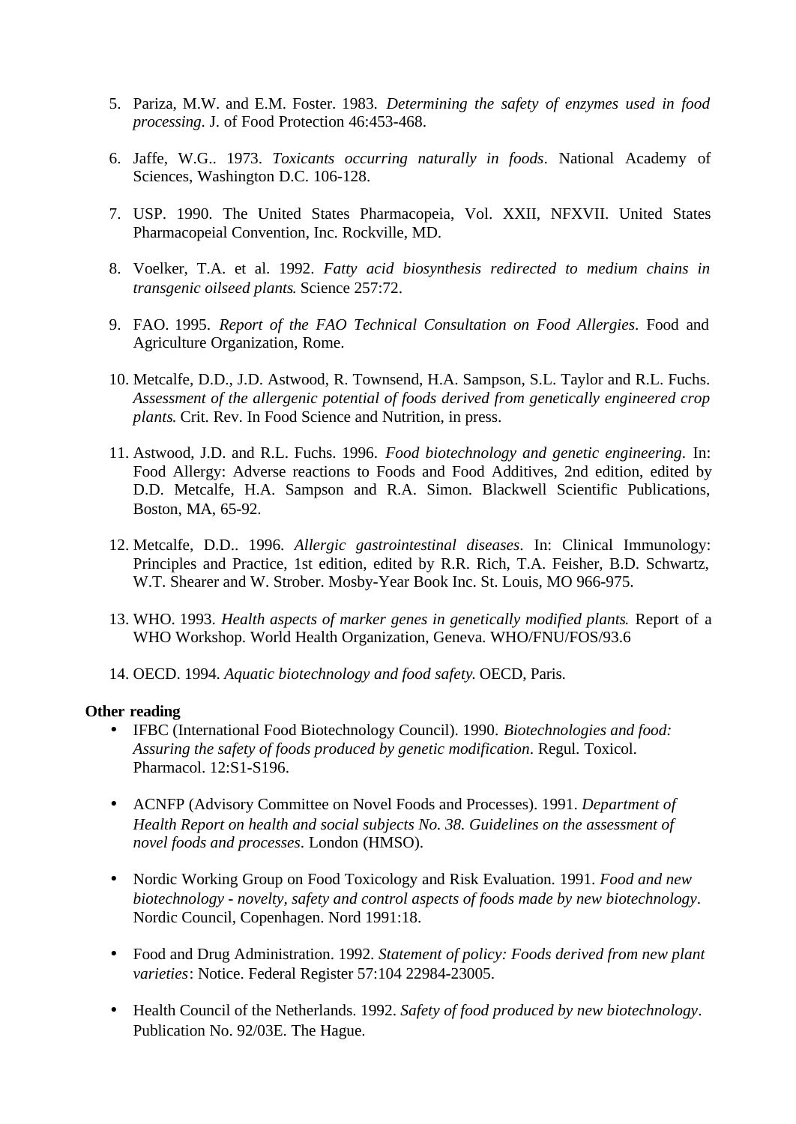- 5. Pariza, M.W. and E.M. Foster. 1983. *Determining the safety of enzymes used in food processing*. J. of Food Protection 46:453-468.
- 6. Jaffe, W.G.. 1973. *Toxicants occurring naturally in foods*. National Academy of Sciences, Washington D.C. 106-128.
- 7. USP. 1990. The United States Pharmacopeia, Vol. XXII, NFXVII. United States Pharmacopeial Convention, Inc. Rockville, MD.
- 8. Voelker, T.A. et al. 1992. *Fatty acid biosynthesis redirected to medium chains in transgenic oilseed plants*. Science 257:72.
- 9. FAO. 1995. *Report of the FAO Technical Consultation on Food Allergies*. Food and Agriculture Organization, Rome.
- 10. Metcalfe, D.D., J.D. Astwood, R. Townsend, H.A. Sampson, S.L. Taylor and R.L. Fuchs. *Assessment of the allergenic potential of foods derived from genetically engineered crop plants*. Crit. Rev. In Food Science and Nutrition, in press.
- 11. Astwood, J.D. and R.L. Fuchs. 1996. *Food biotechnology and genetic engineering*. In: Food Allergy: Adverse reactions to Foods and Food Additives, 2nd edition, edited by D.D. Metcalfe, H.A. Sampson and R.A. Simon. Blackwell Scientific Publications, Boston, MA, 65-92.
- 12. Metcalfe, D.D.. 1996. *Allergic gastrointestinal diseases*. In: Clinical Immunology: Principles and Practice, 1st edition, edited by R.R. Rich, T.A. Feisher, B.D. Schwartz, W.T. Shearer and W. Strober. Mosby-Year Book Inc. St. Louis, MO 966-975.
- 13. WHO. 1993. *Health aspects of marker genes in genetically modified plants*. Report of a WHO Workshop. World Health Organization, Geneva. WHO/FNU/FOS/93.6
- 14. OECD. 1994. *Aquatic biotechnology and food safety*. OECD, Paris.

#### **Other reading**

- IFBC (International Food Biotechnology Council). 1990. *Biotechnologies and food: Assuring the safety of foods produced by genetic modification*. Regul. Toxicol. Pharmacol. 12:S1-S196.
- ACNFP (Advisory Committee on Novel Foods and Processes). 1991. *Department of Health Report on health and social subjects No. 38. Guidelines on the assessment of novel foods and processes*. London (HMSO).
- Nordic Working Group on Food Toxicology and Risk Evaluation. 1991. *Food and new biotechnology - novelty, safety and control aspects of foods made by new biotechnology*. Nordic Council, Copenhagen. Nord 1991:18.
- Food and Drug Administration. 1992. *Statement of policy: Foods derived from new plant varieties*: Notice. Federal Register 57:104 22984-23005.
- Health Council of the Netherlands. 1992. *Safety of food produced by new biotechnology*. Publication No. 92/03E. The Hague.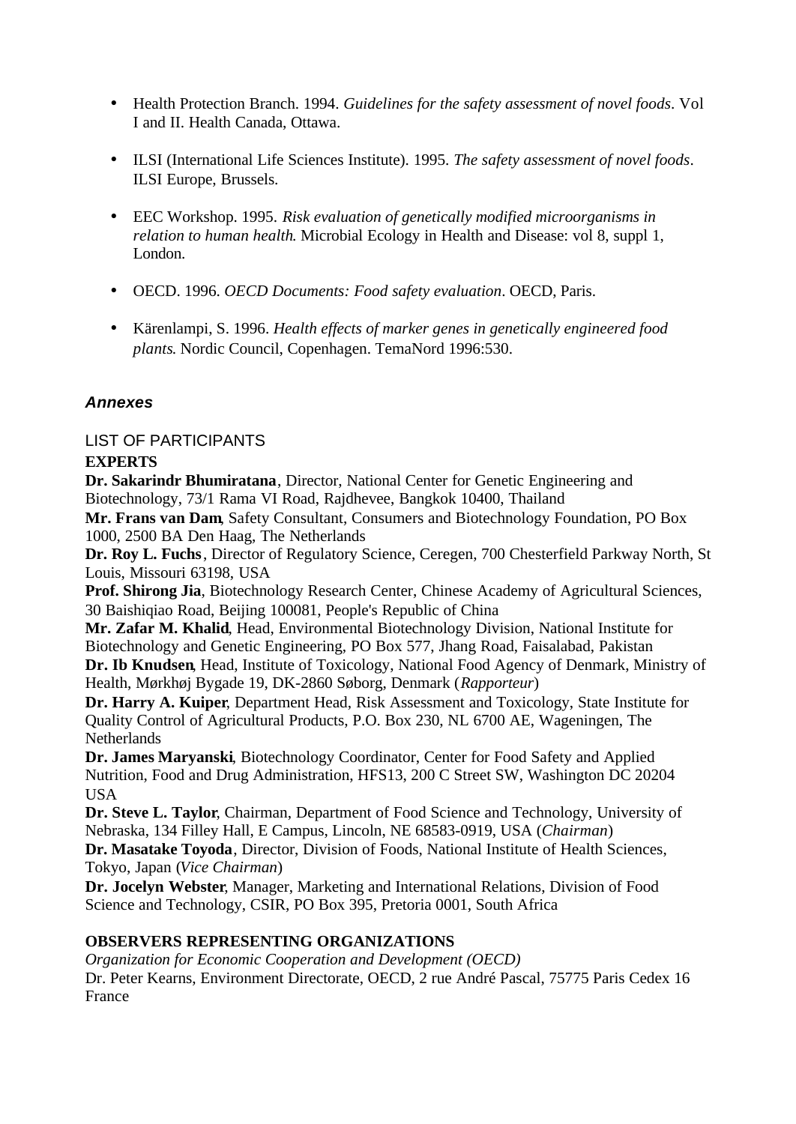- Health Protection Branch. 1994. *Guidelines for the safety assessment of novel foods*. Vol I and II. Health Canada, Ottawa.
- ILSI (International Life Sciences Institute). 1995. *The safety assessment of novel foods*. ILSI Europe, Brussels.
- EEC Workshop. 1995. *Risk evaluation of genetically modified microorganisms in relation to human health*. Microbial Ecology in Health and Disease: vol 8, suppl 1, London.
- OECD. 1996. *OECD Documents: Food safety evaluation*. OECD, Paris.
- Kärenlampi, S. 1996. *Health effects of marker genes in genetically engineered food plants*. Nordic Council, Copenhagen. TemaNord 1996:530.

# *Annexes*

# LIST OF PARTICIPANTS

# **EXPERTS**

**Dr. Sakarindr Bhumiratana**, Director, National Center for Genetic Engineering and Biotechnology, 73/1 Rama VI Road, Rajdhevee, Bangkok 10400, Thailand

**Mr. Frans van Dam**, Safety Consultant, Consumers and Biotechnology Foundation, PO Box 1000, 2500 BA Den Haag, The Netherlands

**Dr. Roy L. Fuchs**, Director of Regulatory Science, Ceregen, 700 Chesterfield Parkway North, St Louis, Missouri 63198, USA

**Prof. Shirong Jia**, Biotechnology Research Center, Chinese Academy of Agricultural Sciences, 30 Baishiqiao Road, Beijing 100081, People's Republic of China

**Mr. Zafar M. Khalid**, Head, Environmental Biotechnology Division, National Institute for Biotechnology and Genetic Engineering, PO Box 577, Jhang Road, Faisalabad, Pakistan

**Dr. Ib Knudsen**, Head, Institute of Toxicology, National Food Agency of Denmark, Ministry of Health, Mørkhøj Bygade 19, DK-2860 Søborg, Denmark (*Rapporteur*)

**Dr. Harry A. Kuiper**, Department Head, Risk Assessment and Toxicology, State Institute for Quality Control of Agricultural Products, P.O. Box 230, NL 6700 AE, Wageningen, The **Netherlands** 

**Dr. James Maryanski**, Biotechnology Coordinator, Center for Food Safety and Applied Nutrition, Food and Drug Administration, HFS13, 200 C Street SW, Washington DC 20204 USA

**Dr. Steve L. Taylor**, Chairman, Department of Food Science and Technology, University of Nebraska, 134 Filley Hall, E Campus, Lincoln, NE 68583-0919, USA (*Chairman*)

**Dr. Masatake Toyoda**, Director, Division of Foods, National Institute of Health Sciences, Tokyo, Japan (*Vice Chairman*)

**Dr. Jocelyn Webster**, Manager, Marketing and International Relations, Division of Food Science and Technology, CSIR, PO Box 395, Pretoria 0001, South Africa

# **OBSERVERS REPRESENTING ORGANIZATIONS**

*Organization for Economic Cooperation and Development (OECD)* Dr. Peter Kearns, Environment Directorate, OECD, 2 rue André Pascal, 75775 Paris Cedex 16 France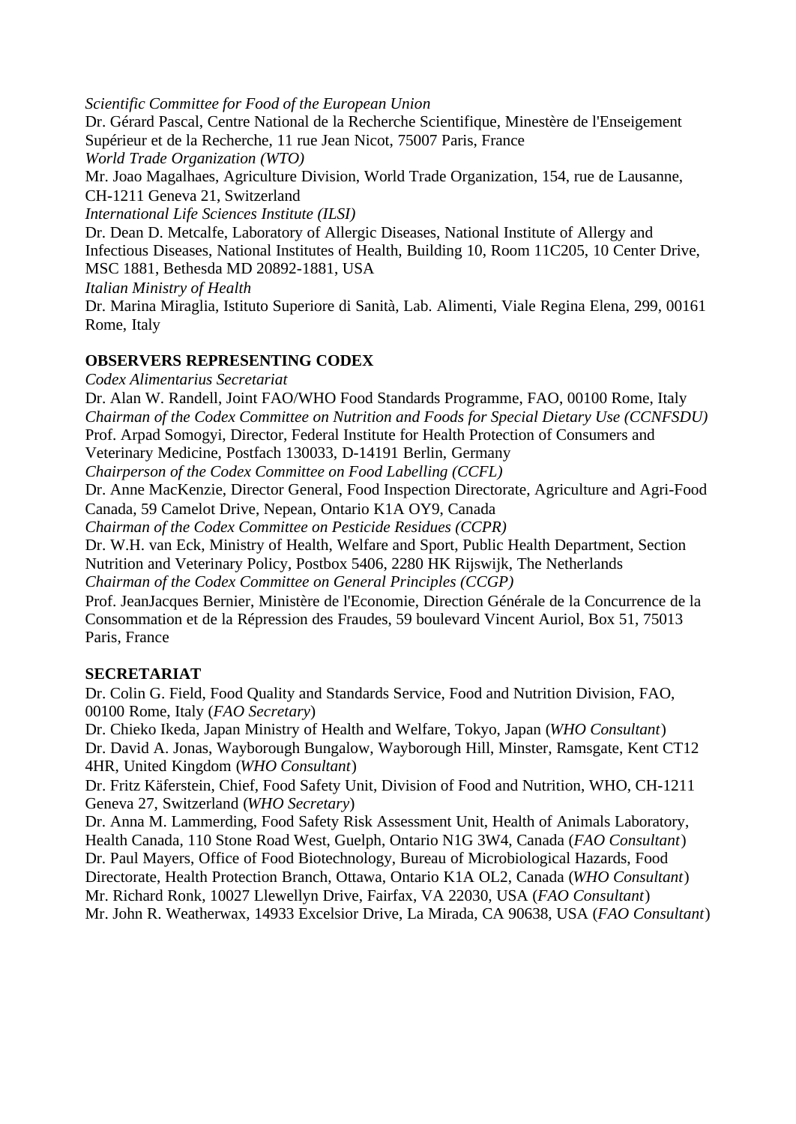*Scientific Committee for Food of the European Union*

Dr. Gérard Pascal, Centre National de la Recherche Scientifique, Minestère de l'Enseigement Supérieur et de la Recherche, 11 rue Jean Nicot, 75007 Paris, France *World Trade Organization (WTO)*

Mr. Joao Magalhaes, Agriculture Division, World Trade Organization, 154, rue de Lausanne, CH-1211 Geneva 21, Switzerland

*International Life Sciences Institute (ILSI)*

Dr. Dean D. Metcalfe, Laboratory of Allergic Diseases, National Institute of Allergy and Infectious Diseases, National Institutes of Health, Building 10, Room 11C205, 10 Center Drive, MSC 1881, Bethesda MD 20892-1881, USA

*Italian Ministry of Health*

Dr. Marina Miraglia, Istituto Superiore di Sanità, Lab. Alimenti, Viale Regina Elena, 299, 00161 Rome, Italy

#### **OBSERVERS REPRESENTING CODEX**

*Codex Alimentarius Secretariat*

Dr. Alan W. Randell, Joint FAO/WHO Food Standards Programme, FAO, 00100 Rome, Italy *Chairman of the Codex Committee on Nutrition and Foods for Special Dietary Use (CCNFSDU)* Prof. Arpad Somogyi, Director, Federal Institute for Health Protection of Consumers and Veterinary Medicine, Postfach 130033, D-14191 Berlin, Germany

*Chairperson of the Codex Committee on Food Labelling (CCFL)*

Dr. Anne MacKenzie, Director General, Food Inspection Directorate, Agriculture and Agri-Food Canada, 59 Camelot Drive, Nepean, Ontario K1A OY9, Canada

*Chairman of the Codex Committee on Pesticide Residues (CCPR)*

Dr. W.H. van Eck, Ministry of Health, Welfare and Sport, Public Health Department, Section Nutrition and Veterinary Policy, Postbox 5406, 2280 HK Rijswijk, The Netherlands *Chairman of the Codex Committee on General Principles (CCGP)*

Prof. JeanJacques Bernier, Ministère de l'Economie, Direction Générale de la Concurrence de la Consommation et de la Répression des Fraudes, 59 boulevard Vincent Auriol, Box 51, 75013 Paris, France

#### **SECRETARIAT**

Dr. Colin G. Field, Food Quality and Standards Service, Food and Nutrition Division, FAO, 00100 Rome, Italy (*FAO Secretary*)

Dr. Chieko Ikeda, Japan Ministry of Health and Welfare, Tokyo, Japan (*WHO Consultant*) Dr. David A. Jonas, Wayborough Bungalow, Wayborough Hill, Minster, Ramsgate, Kent CT12 4HR, United Kingdom (*WHO Consultant*)

Dr. Fritz Käferstein, Chief, Food Safety Unit, Division of Food and Nutrition, WHO, CH-1211 Geneva 27, Switzerland (*WHO Secretary*)

Dr. Anna M. Lammerding, Food Safety Risk Assessment Unit, Health of Animals Laboratory, Health Canada, 110 Stone Road West, Guelph, Ontario N1G 3W4, Canada (*FAO Consultant*) Dr. Paul Mayers, Office of Food Biotechnology, Bureau of Microbiological Hazards, Food Directorate, Health Protection Branch, Ottawa, Ontario K1A OL2, Canada (*WHO Consultant*) Mr. Richard Ronk, 10027 Llewellyn Drive, Fairfax, VA 22030, USA (*FAO Consultant*) Mr. John R. Weatherwax, 14933 Excelsior Drive, La Mirada, CA 90638, USA (*FAO Consultant*)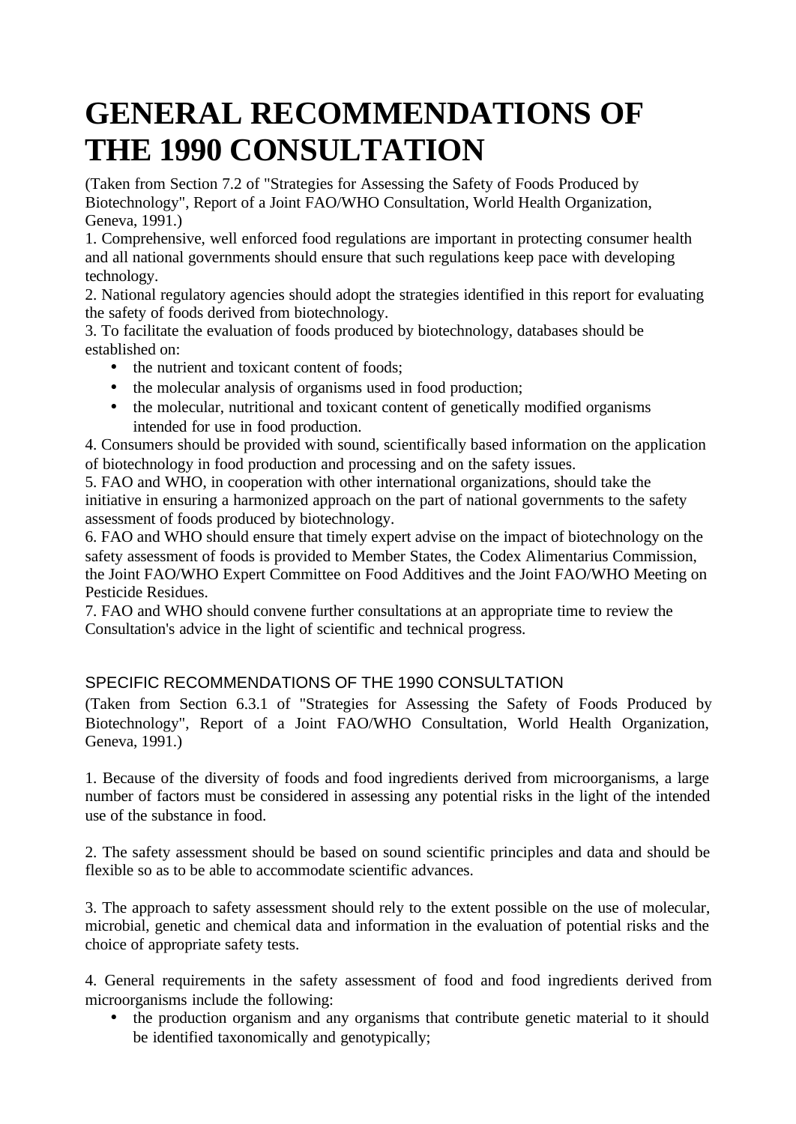# **GENERAL RECOMMENDATIONS OF THE 1990 CONSULTATION**

(Taken from Section 7.2 of "Strategies for Assessing the Safety of Foods Produced by Biotechnology", Report of a Joint FAO/WHO Consultation, World Health Organization, Geneva, 1991.)

1. Comprehensive, well enforced food regulations are important in protecting consumer health and all national governments should ensure that such regulations keep pace with developing technology.

2. National regulatory agencies should adopt the strategies identified in this report for evaluating the safety of foods derived from biotechnology.

3. To facilitate the evaluation of foods produced by biotechnology, databases should be established on:

- the nutrient and toxicant content of foods;
- the molecular analysis of organisms used in food production;
- the molecular, nutritional and toxicant content of genetically modified organisms intended for use in food production.

4. Consumers should be provided with sound, scientifically based information on the application of biotechnology in food production and processing and on the safety issues.

5. FAO and WHO, in cooperation with other international organizations, should take the initiative in ensuring a harmonized approach on the part of national governments to the safety assessment of foods produced by biotechnology.

6. FAO and WHO should ensure that timely expert advise on the impact of biotechnology on the safety assessment of foods is provided to Member States, the Codex Alimentarius Commission, the Joint FAO/WHO Expert Committee on Food Additives and the Joint FAO/WHO Meeting on Pesticide Residues.

7. FAO and WHO should convene further consultations at an appropriate time to review the Consultation's advice in the light of scientific and technical progress.

# SPECIFIC RECOMMENDATIONS OF THE 1990 CONSULTATION

(Taken from Section 6.3.1 of "Strategies for Assessing the Safety of Foods Produced by Biotechnology", Report of a Joint FAO/WHO Consultation, World Health Organization, Geneva, 1991.)

1. Because of the diversity of foods and food ingredients derived from microorganisms, a large number of factors must be considered in assessing any potential risks in the light of the intended use of the substance in food.

2. The safety assessment should be based on sound scientific principles and data and should be flexible so as to be able to accommodate scientific advances.

3. The approach to safety assessment should rely to the extent possible on the use of molecular, microbial, genetic and chemical data and information in the evaluation of potential risks and the choice of appropriate safety tests.

4. General requirements in the safety assessment of food and food ingredients derived from microorganisms include the following:

• the production organism and any organisms that contribute genetic material to it should be identified taxonomically and genotypically;